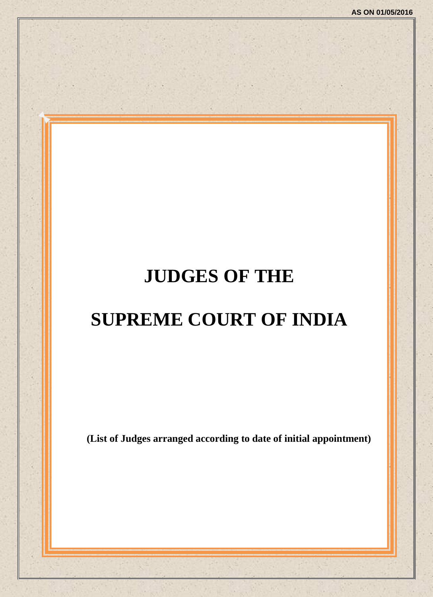# **JUDGES OF THE**

# **SUPREME COURT OF INDIA**

**(List of Judges arranged according to date of initial appointment)**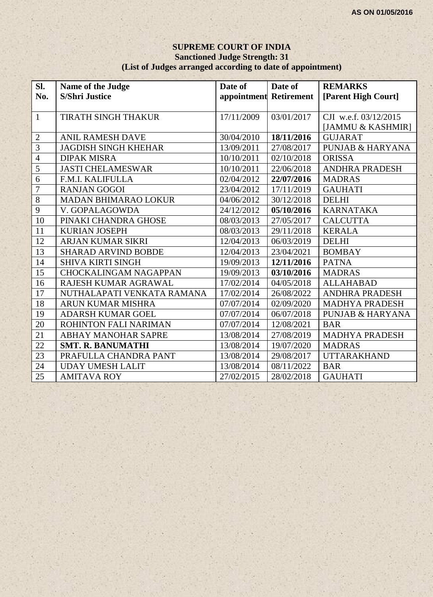#### **SUPREME COURT OF INDIA Sanctioned Judge Strength: 31 (List of Judges arranged according to date of appointment)**

| Sl.             | Name of the Judge            | Date of                | Date of    | <b>REMARKS</b>              |
|-----------------|------------------------------|------------------------|------------|-----------------------------|
| No.             | <b>S/Shri Justice</b>        | appointment Retirement |            | [Parent High Court]         |
|                 |                              |                        |            |                             |
| $\mathbf{1}$    | <b>TIRATH SINGH THAKUR</b>   | 17/11/2009             | 03/01/2017 | CJI w.e.f. 03/12/2015       |
|                 |                              |                        |            | [JAMMU & KASHMIR]           |
| $\sqrt{2}$      | <b>ANIL RAMESH DAVE</b>      | 30/04/2010             | 18/11/2016 | <b>GUJARAT</b>              |
| $\overline{3}$  | <b>JAGDISH SINGH KHEHAR</b>  | 13/09/2011             | 27/08/2017 | <b>PUNJAB &amp; HARYANA</b> |
| $\overline{4}$  | <b>DIPAK MISRA</b>           | 10/10/2011             | 02/10/2018 | <b>ORISSA</b>               |
| $\overline{5}$  | <b>JASTI CHELAMESWAR</b>     | 10/10/2011             | 22/06/2018 | <b>ANDHRA PRADESH</b>       |
| $\overline{6}$  | F.M.I. KALIFULLA             | 02/04/2012             | 22/07/2016 | <b>MADRAS</b>               |
| $\overline{7}$  | <b>RANJAN GOGOI</b>          | 23/04/2012             | 17/11/2019 | <b>GAUHATI</b>              |
| $\overline{8}$  | <b>MADAN BHIMARAO LOKUR</b>  | 04/06/2012             | 30/12/2018 | <b>DELHI</b>                |
| $\overline{9}$  | V. GOPALAGOWDA               | 24/12/2012             | 05/10/2016 | <b>KARNATAKA</b>            |
| 10              | PINAKI CHANDRA GHOSE         | 08/03/2013             | 27/05/2017 | <b>CALCUTTA</b>             |
| 11              | <b>KURIAN JOSEPH</b>         | 08/03/2013             | 29/11/2018 | <b>KERALA</b>               |
| 12              | <b>ARJAN KUMAR SIKRI</b>     | 12/04/2013             | 06/03/2019 | <b>DELHI</b>                |
| 13              | <b>SHARAD ARVIND BOBDE</b>   | 12/04/2013             | 23/04/2021 | <b>BOMBAY</b>               |
| 14              | <b>SHIVA KIRTI SINGH</b>     | 19/09/2013             | 12/11/2016 | <b>PATNA</b>                |
| $\overline{15}$ | <b>CHOCKALINGAM NAGAPPAN</b> | 19/09/2013             | 03/10/2016 | <b>MADRAS</b>               |
| 16              | RAJESH KUMAR AGRAWAL         | 17/02/2014             | 04/05/2018 | <b>ALLAHABAD</b>            |
| 17              | NUTHALAPATI VENKATA RAMANA   | 17/02/2014             | 26/08/2022 | <b>ANDHRA PRADESH</b>       |
| 18              | <b>ARUN KUMAR MISHRA</b>     | 07/07/2014             | 02/09/2020 | <b>MADHYA PRADESH</b>       |
| 19              | <b>ADARSH KUMAR GOEL</b>     | 07/07/2014             | 06/07/2018 | <b>PUNJAB &amp; HARYANA</b> |
| 20              | ROHINTON FALI NARIMAN        | 07/07/2014             | 12/08/2021 | <b>BAR</b>                  |
| 21              | ABHAY MANOHAR SAPRE          | 13/08/2014             | 27/08/2019 | <b>MADHYA PRADESH</b>       |
| 22              | <b>SMT. R. BANUMATHI</b>     | 13/08/2014             | 19/07/2020 | <b>MADRAS</b>               |
| $\overline{23}$ | PRAFULLA CHANDRA PANT        | 13/08/2014             | 29/08/2017 | <b>UTTARAKHAND</b>          |
| 24              | <b>UDAY UMESH LALIT</b>      | 13/08/2014             | 08/11/2022 | <b>BAR</b>                  |
| 25              | <b>AMITAVA ROY</b>           | 27/02/2015             | 28/02/2018 | <b>GAUHATI</b>              |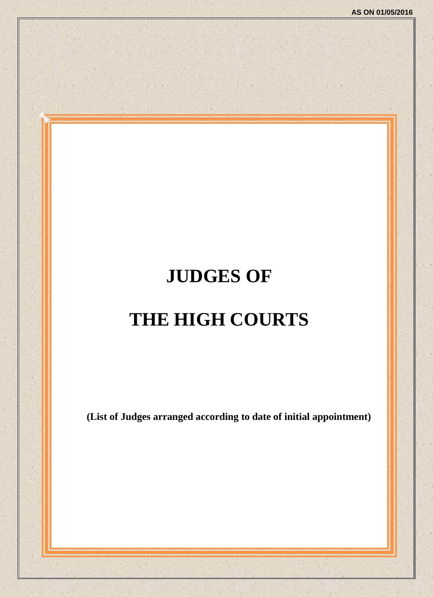# **JUDGES OF THE HIGH COURTS**

**(List of Judges arranged according to date of initial appointment)**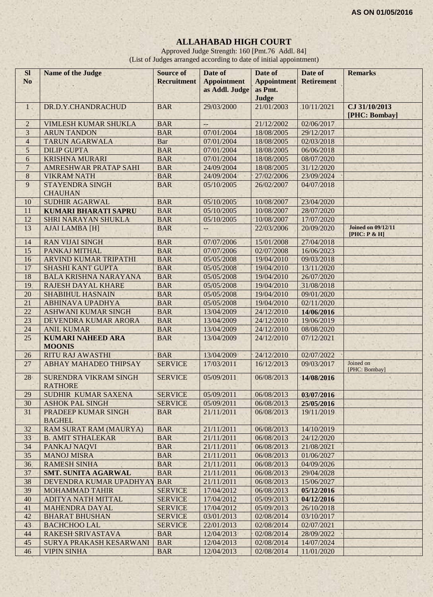# **ALLAHABAD HIGH COURT**

Approved Judge Strength: 160 [Pmt.76 Addl. 84] (List of Judges arranged according to date of initial appointment)

| <b>Sl</b><br>N <sub>o</sub> | Name of the Judge                                              | <b>Source of</b><br><b>Recruitment</b> | Date of<br><b>Appointment</b><br>as Addl. Judge | Date of<br><b>Appointment</b><br>as Pmt. | Date of<br><b>Retirement</b> | <b>Remarks</b>                            |
|-----------------------------|----------------------------------------------------------------|----------------------------------------|-------------------------------------------------|------------------------------------------|------------------------------|-------------------------------------------|
|                             |                                                                |                                        |                                                 | Judge                                    |                              |                                           |
| 1 <sup>1</sup>              | DR.D.Y.CHANDRACHUD                                             | <b>BAR</b>                             | 29/03/2000                                      | 21/01/2003                               | 10/11/2021                   | CJ 31/10/2013<br>[PHC: Bombay]            |
| $\overline{2}$              | VIMLESH KUMAR SHUKLA                                           | <b>BAR</b>                             | ÷-                                              | 21/12/2002                               | 02/06/2017                   |                                           |
| 3                           | <b>ARUN TANDON</b>                                             | <b>BAR</b>                             | 07/01/2004                                      | 18/08/2005                               | 29/12/2017                   |                                           |
| $\overline{4}$              | <b>TARUN AGARWALA</b>                                          | <b>Bar</b>                             | 07/01/2004                                      | 18/08/2005                               | 02/03/2018                   |                                           |
| 5                           | <b>DILIP GUPTA</b>                                             | <b>BAR</b>                             | 07/01/2004                                      | 18/08/2005                               | 06/06/2018                   |                                           |
| 6                           | <b>KRISHNA MURARI</b>                                          | <b>BAR</b>                             | 07/01/2004                                      | 18/08/2005                               | 08/07/2020                   |                                           |
| $\overline{7}$              | AMRESHWAR PRATAP SAHI                                          | <b>BAR</b>                             | 24/09/2004                                      | 18/08/2005                               | 31/12/2020                   |                                           |
| 8                           | <b>VIKRAM NATH</b>                                             | <b>BAR</b>                             | 24/09/2004                                      | 27/02/2006                               | 23/09/2024                   |                                           |
| 9                           | <b>STAYENDRA SINGH</b><br><b>CHAUHAN</b>                       | <b>BAR</b>                             | 05/10/2005                                      | 26/02/2007                               | 04/07/2018                   |                                           |
| 10                          | <b>SUDHIR AGARWAL</b>                                          | <b>BAR</b>                             | 05/10/2005                                      | 10/08/2007                               | 23/04/2020                   |                                           |
| 11                          | <b>KUMARI BHARATI SAPRU</b>                                    | <b>BAR</b>                             | 05/10/2005                                      | 10/08/2007                               | 28/07/2020                   |                                           |
| 12                          | SHRI NARAYAN SHUKLA                                            | <b>BAR</b>                             | 05/10/2005                                      | 10/08/2007                               | 17/07/2020                   |                                           |
| 13                          | <b>AJAI LAMBA [H]</b>                                          | <b>BAR</b>                             | --                                              | 22/03/2006                               | 20/09/2020                   | <b>Joined on 09/12/11</b><br>[PHC: P & H] |
| 14                          | <b>RAN VIJAI SINGH</b>                                         | <b>BAR</b>                             | 07/07/2006                                      | 15/01/2008                               | 27/04/2018                   |                                           |
| 15                          | PANKAJ MITHAL                                                  | <b>BAR</b>                             | 07/07/2006                                      | 02/07/2008<br>19/04/2010                 | 16/06/2023                   |                                           |
| 16                          | <b>ARVIND KUMAR TRIPATHI</b>                                   | <b>BAR</b>                             | 05/05/2008                                      |                                          | 09/03/2018                   |                                           |
| 17<br>18                    | <b>SHASHI KANT GUPTA</b><br><b>BALA KRISHNA NARAYANA</b>       | <b>BAR</b><br><b>BAR</b>               | 05/05/2008<br>05/05/2008                        | 19/04/2010<br>19/04/2010                 | 13/11/2020<br>26/07/2020     |                                           |
| 19                          | <b>RAJESH DAYAL KHARE</b>                                      | <b>BAR</b>                             | 05/05/2008                                      | 19/04/2010                               | 31/08/2018                   |                                           |
| 20                          | <b>SHABIHUL HASNAIN</b>                                        | <b>BAR</b>                             | 05/05/2008                                      | 19/04/2010                               | 09/01/2020                   |                                           |
| 21                          | <b>ABHINAVA UPADHYA</b>                                        | <b>BAR</b>                             | 05/05/2008                                      | 19/04/2010                               | 02/11/2020                   |                                           |
| $\overline{22}$             | <b>ASHWANI KUMAR SINGH</b>                                     | <b>BAR</b>                             | 13/04/2009                                      | 24/12/2010                               | 14/06/2016                   |                                           |
| 23                          | DEVENDRA KUMAR ARORA                                           | <b>BAR</b>                             | 13/04/2009                                      | 24/12/2010                               | 19/06/2019                   |                                           |
| 24                          | <b>ANIL KUMAR</b>                                              | <b>BAR</b>                             | 13/04/2009                                      | 24/12/2010                               | 08/08/2020                   |                                           |
| $\overline{25}$             | <b>KUMARI NAHEED ARA</b>                                       | <b>BAR</b>                             | 13/04/2009                                      | 24/12/2010                               | 07/12/2021                   |                                           |
|                             | <b>MOONIS</b>                                                  |                                        |                                                 |                                          |                              |                                           |
| 26                          | <b>RITU RAJ AWASTHI</b>                                        | <b>BAR</b>                             | 13/04/2009                                      | 24/12/2010                               | 02/07/2022                   | Joined on                                 |
| 27<br>28                    | <b>ABHAY MAHADEO THIPSAY</b><br><b>SURENDRA VIKRAM SINGH</b>   | <b>SERVICE</b><br><b>SERVICE</b>       | 17/03/2011<br>05/09/2011                        | 16/12/2013<br>06/08/2013                 | 09/03/2017<br>14/08/2016     | [PHC: Bombay]                             |
|                             | <b>RATHORE</b>                                                 |                                        |                                                 |                                          |                              |                                           |
| 29                          | SUDHIR KUMAR SAXENA                                            | <b>SERVICE</b>                         | 05/09/2011                                      | 06/08/2013                               | 03/07/2016                   |                                           |
| 30<br>31                    | <b>ASHOK PAL SINGH</b><br>PRADEEP KUMAR SINGH<br><b>BAGHEL</b> | <b>SERVICE</b><br><b>BAR</b>           | 05/09/2011<br>21/11/2011                        | 06/08/2013<br>06/08/2013                 | 25/05/2016<br>19/11/2019     |                                           |
| 32                          | RAM SURAT RAM (MAURYA)                                         | <b>BAR</b>                             | 21/11/2011                                      | 06/08/2013                               | 14/10/2019                   |                                           |
| 33                          | <b>B. AMIT STHALEKAR</b>                                       | <b>BAR</b>                             | 21/11/2011                                      | 06/08/2013                               | 24/12/2020                   |                                           |
| 34                          | PANKAJ NAQVI                                                   | <b>BAR</b>                             | 21/11/2011                                      | 06/08/2013                               | 21/08/2021                   |                                           |
| 35                          | <b>MANOJ MISRA</b>                                             | <b>BAR</b>                             | 21/11/2011                                      | 06/08/2013                               | 01/06/2027                   |                                           |
| 36                          | <b>RAMESH SINHA</b>                                            | <b>BAR</b>                             | 21/11/2011                                      | 06/08/2013                               | 04/09/2026                   |                                           |
| 37                          | <b>SMT. SUNITA AGARWAL</b>                                     | <b>BAR</b>                             | 21/11/2011                                      | 06/08/2013                               | 29/04/2028                   |                                           |
| 38                          | DEVENDRA KUMAR UPADHYAY                                        | <b>BAR</b>                             | 21/11/2011                                      | 06/08/2013                               | 15/06/2027                   |                                           |
| 39                          | <b>MOHAMMAD TAHIR</b>                                          | <b>SERVICE</b>                         | 17/04/2012                                      | 06/08/2013                               | 05/12/2016                   |                                           |
| 40                          | ADITYA NATH MITTAL                                             | <b>SERVICE</b>                         | 17/04/2012                                      | 05/09/2013                               | 04/12/2016                   |                                           |
| 41                          | MAHENDRA DAYAL                                                 | <b>SERVICE</b>                         | 17/04/2012                                      | 05/09/2013                               | 26/10/2018                   |                                           |
| 42                          | <b>BHARAT BHUSHAN</b>                                          | <b>SERVICE</b>                         | 03/01/2013                                      | 02/08/2014                               | 03/10/2017                   |                                           |
| 43                          | <b>BACHCHOO LAL</b>                                            | <b>SERVICE</b>                         | 22/01/2013                                      | 02/08/2014                               | 02/07/2021                   |                                           |
| 44                          | RAKESH SRIVASTAVA                                              | <b>BAR</b>                             | 12/04/2013                                      | 02/08/2014                               | 28/09/2022                   |                                           |
| 45                          | SURYA PRAKASH KESARWANI                                        | <b>BAR</b>                             | 12/04/2013                                      | 02/08/2014                               | 14/07/2024                   |                                           |
| 46                          | <b>VIPIN SINHA</b>                                             | <b>BAR</b>                             | 12/04/2013                                      | 02/08/2014                               | 11/01/2020                   |                                           |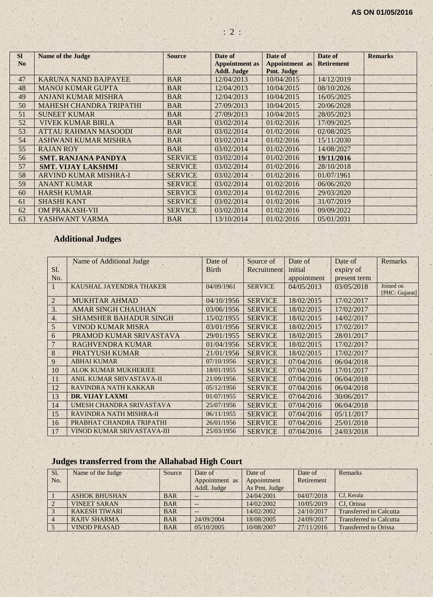| <b>SI</b><br>N <sub>o</sub> | <b>Name of the Judge</b>       | <b>Source</b>  | Date of<br><b>Appointment as</b> | Date of<br><b>Appointment</b> as | Date of<br><b>Retirement</b> | <b>Remarks</b> |
|-----------------------------|--------------------------------|----------------|----------------------------------|----------------------------------|------------------------------|----------------|
|                             |                                |                | <b>Addl. Judge</b>               | Pmt. Judge                       |                              |                |
| 47                          | <b>KARUNA NAND BAJPAYEE</b>    | <b>BAR</b>     | 12/04/2013                       | 10/04/2015                       | 14/12/2019                   |                |
| 48                          | <b>MANOJ KUMAR GUPTA</b>       | <b>BAR</b>     | 12/04/2013                       | 10/04/2015                       | 08/10/2026                   |                |
| 49                          | <b>ANJANI KUMAR MISHRA</b>     | <b>BAR</b>     | 12/04/2013                       | 10/04/2015                       | 16/05/2025                   |                |
| 50                          | <b>MAHESH CHANDRA TRIPATHI</b> | <b>BAR</b>     | 27/09/2013                       | 10/04/2015                       | 20/06/2028                   |                |
| 51                          | <b>SUNEET KUMAR</b>            | <b>BAR</b>     | 27/09/2013                       | 10/04/2015                       | 28/05/2023                   |                |
| 52                          | <b>VIVEK KUMAR BIRLA</b>       | <b>BAR</b>     | 03/02/2014                       | 01/02/2016                       | 17/09/2025                   |                |
| 53                          | <b>ATTAU RAHMAN MASOODI</b>    | <b>BAR</b>     | 03/02/2014                       | 01/02/2016                       | 02/08/2025                   |                |
| 54                          | <b>ASHWANI KUMAR MISHRA</b>    | <b>BAR</b>     | 03/02/2014                       | 01/02/2016                       | 15/11/2030                   |                |
| 55                          | <b>RAJAN ROY</b>               | <b>BAR</b>     | 03/02/2014                       | 01/02/2016                       | 14/08/2027                   |                |
| 56                          | <b>SMT. RANJANA PANDYA</b>     | <b>SERVICE</b> | 03/02/2014                       | 01/02/2016                       | 19/11/2016                   |                |
| 57                          | <b>SMT. VIJAY LAKSHMI</b>      | <b>SERVICE</b> | 03/02/2014                       | 01/02/2016                       | 28/10/2018                   |                |
| 58                          | <b>ARVIND KUMAR MISHRA-I</b>   | <b>SERVICE</b> | 03/02/2014                       | 01/02/2016                       | 01/07/1961                   |                |
| 59                          | <b>ANANT KUMAR</b>             | <b>SERVICE</b> | 03/02/2014                       | 01/02/2016                       | 06/06/2020                   |                |
| 60                          | <b>HARSH KUMAR</b>             | <b>SERVICE</b> | 03/02/2014                       | 01/02/2016                       | 29/03/2020                   |                |
| 61                          | <b>SHASHI KANT</b>             | <b>SERVICE</b> | 03/02/2014                       | 01/02/2016                       | 31/07/2019                   |                |
| 62                          | <b>OM PRAKASH-VII</b>          | <b>SERVICE</b> | 03/02/2014                       | 01/02/2016                       | 09/09/2022                   |                |
| 63                          | YASHWANT VARMA                 | <b>BAR</b>     | 13/10/2014                       | 01/02/2016                       | 05/01/2031                   |                |

: 2 :

# **Additional Judges**

|                | Name of Additional Judge      | Date of      | Source of      | Date of     | Date of      | Remarks                     |
|----------------|-------------------------------|--------------|----------------|-------------|--------------|-----------------------------|
| S1.            |                               | <b>Birth</b> | Recruitment    | initial     | expiry of    |                             |
| No.            |                               |              |                | appointment | present term |                             |
| $\mathbf{1}$   | KAUSHAL JAYENDRA THAKER       | 04/09/1961   | <b>SERVICE</b> | 04/05/2013  | 03/05/2018   | Joined on<br>[PHC: Gujarat] |
| $\overline{2}$ | <b>MUKHTAR AHMAD</b>          | 04/10/1956   | <b>SERVICE</b> | 18/02/2015  | 17/02/2017   |                             |
| 3.             | <b>AMAR SINGH CHAUHAN</b>     | 03/06/1956   | <b>SERVICE</b> | 18/02/2015  | 17/02/2017   |                             |
| 4.             | <b>SHAMSHER BAHADUR SINGH</b> | 15/02/1955   | <b>SERVICE</b> | 18/02/2015  | 14/02/2017   |                             |
| 5              | <b>VINOD KUMAR MISRA</b>      | 03/01/1956   | <b>SERVICE</b> | 18/02/2015  | 17/02/2017   |                             |
| 6              | PRAMOD KUMAR SRIVASTAVA       | 29/01/1955   | <b>SERVICE</b> | 18/02/2015  | 28/01/2017   |                             |
| $\overline{7}$ | <b>RAGHVENDRA KUMAR</b>       | 01/04/1956   | <b>SERVICE</b> | 18/02/2015  | 17/02/2017   |                             |
| 8              | <b>PRATYUSH KUMAR</b>         | 21/01/1956   | <b>SERVICE</b> | 18/02/2015  | 17/02/2017   |                             |
| 9              | <b>ABHAI KUMAR</b>            | 07/10/1956   | <b>SERVICE</b> | 07/04/2016  | 06/04/2018   |                             |
| 10             | <b>ALOK KUMAR MUKHERJEE</b>   | 18/01/1955   | <b>SERVICE</b> | 07/04/2016  | 17/01/2017   |                             |
| 11             | ANIL KUMAR SRIVASTAVA-II      | 21/09/1956   | <b>SERVICE</b> | 07/04/2016  | 06/04/2018   |                             |
| 12             | RAVINDRA NATH KAKKAR          | 05/12/1956   | <b>SERVICE</b> | 07/04/2016  | 06/04/2018   |                             |
| 13             | <b>DR. VIJAY LAXMI</b>        | 01/07/1955   | <b>SERVICE</b> | 07/04/2016  | 30/06/2017   |                             |
| 14             | UMESH CHANDRA SRIVASTAVA      | 25/07/1956   | <b>SERVICE</b> | 07/04/2016  | 06/04/2018   |                             |
| 15             | RAVINDRA NATH MISHRA-II       | 06/11/1955   | <b>SERVICE</b> | 07/04/2016  | 05/11/2017   |                             |
| 16             | PRABHAT CHANDRA TRIPATHI      | 26/01/1956   | <b>SERVICE</b> | 07/04/2016  | 25/01/2018   |                             |
| 17             | VINOD KUMAR SRIVASTAVA-III    | 25/03/1956   | <b>SERVICE</b> | 07/04/2016  | 24/03/2018   |                             |
|                |                               |              |                |             |              |                             |

# **Judges transferred from the Allahabad High Court**

| Sl. | Name of the Judge    | Source     | Date of           | Date of       | Date of    | Remarks                        |
|-----|----------------------|------------|-------------------|---------------|------------|--------------------------------|
| No. |                      |            | Appointment as    | Appointment   | Retirement |                                |
|     |                      |            | Addl. Judge       | As Pmt. Judge |            |                                |
|     | <b>ASHOK BHUSHAN</b> | <b>BAR</b> | $\qquad \qquad -$ | 24/04/2001    | 04/07/2018 | CJ. Kerala                     |
|     | <b>VINEET SARAN</b>  | <b>BAR</b> | $\qquad \qquad -$ | 14/02/2002    | 10/05/2019 | CJ. Orissa                     |
|     | <b>RAKESH TIWARI</b> | <b>BAR</b> | $\qquad \qquad -$ | 14/02/2002    | 24/10/2017 | <b>Transferred to Calcutta</b> |
|     | <b>RAJIV SHARMA</b>  | <b>BAR</b> | 24/09/2004        | 18/08/2005    | 24/09/2017 | <b>Transferred to Calcutta</b> |
|     | <b>VINOD PRASAD</b>  | <b>BAR</b> | 05/10/2005        | 10/08/2007    | 27/11/2016 | <b>Transferred to Orissa</b>   |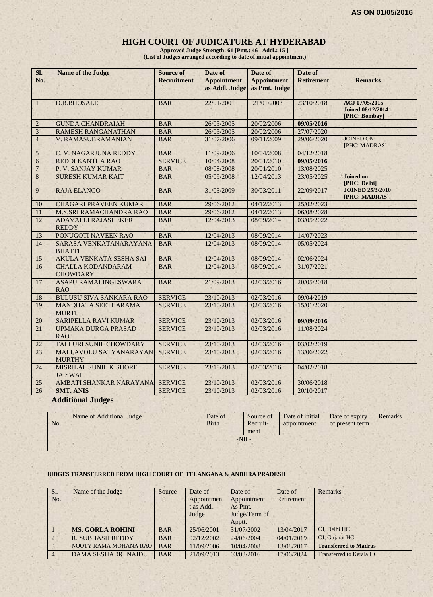#### **HIGH COURT OF JUDICATURE AT HYDERABAD**

**Approved Judge Strength: 61 [Pmt.: 46 Addl.: 15 ] (List of Judges arranged according to date of initial appointment)**

| SI.<br>No.       | <b>Name of the Judge</b>                                               | <b>Source of</b><br><b>Recruitment</b> | Date of<br><b>Appointment</b><br>as Addl. Judge | Date of<br><b>Appointment</b><br>as Pmt. Judge | Date of<br><b>Retirement</b> | <b>Remarks</b>                                       |
|------------------|------------------------------------------------------------------------|----------------------------------------|-------------------------------------------------|------------------------------------------------|------------------------------|------------------------------------------------------|
| $\mathbf{1}$     | <b>D.B.BHOSALE</b>                                                     | <b>BAR</b>                             | 22/01/2001                                      | 21/01/2003                                     | 23/10/2018                   | ACJ 07/05/2015<br>Joined 08/12/2014<br>[PHC: Bombay] |
| $\boldsymbol{2}$ | <b>GUNDA CHANDRAIAH</b>                                                | <b>BAR</b>                             | 26/05/2005                                      | 20/02/2006                                     | 09/05/2016                   |                                                      |
| 3 <sup>1</sup>   | <b>RAMESH RANGANATHAN</b>                                              | <b>BAR</b>                             | 26/05/2005                                      | 20/02/2006                                     | 27/07/2020                   |                                                      |
| $\overline{4}$   | V. RAMASUBRAMANIAN                                                     | <b>BAR</b>                             | 31/07/2006                                      | 09/11/2009                                     | 29/06/2020                   | <b>JOINED ON</b><br>[PHC: MADRAS]                    |
| 5                | C. V. NAGARJUNA REDDY                                                  | <b>BAR</b>                             | 11/09/2006                                      | 10/04/2008                                     | 04/12/2018                   |                                                      |
| $\boldsymbol{6}$ | REDDI KANTHA RAO                                                       | <b>SERVICE</b>                         | 10/04/2008                                      | 20/01/2010                                     | 09/05/2016                   |                                                      |
| $\overline{7}$   | P. V. SANJAY KUMAR                                                     | <b>BAR</b>                             | 08/08/2008                                      | 20/01/2010                                     | 13/08/2025                   |                                                      |
| 8                | <b>SURESH KUMAR KAIT</b>                                               | <b>BAR</b>                             | 05/09/2008                                      | 12/04/2013                                     | 23/05/2025                   | <b>Joined on</b><br>[PHC: Delhi]                     |
| 9                | <b>RAJA ELANGO</b>                                                     | <b>BAR</b>                             | 31/03/2009                                      | 30/03/2011                                     | 22/09/2017                   | <b>JOINED 25/3/2010</b><br>[PHC: MADRAS]             |
| 10               | <b>CHAGARI PRAVEEN KUMAR</b>                                           | <b>BAR</b>                             | 29/06/2012                                      | 04/12/2013                                     | 25/02/2023                   |                                                      |
| 11               | <b>M.S.SRI RAMACHANDRA RAO</b>                                         | <b>BAR</b>                             | 29/06/2012                                      | 04/12/2013                                     | 06/08/2028                   |                                                      |
| 12               | <b>ADAVALLI RAJASHEKER</b><br><b>REDDY</b>                             | <b>BAR</b>                             | 12/04/2013                                      | 08/09/2014                                     | 03/05/2022                   |                                                      |
| 13               | PONUGOTI NAVEEN RAO                                                    | <b>BAR</b>                             | 12/04/2013                                      | 08/09/2014                                     | 14/07/2023                   |                                                      |
| 14               | SARASA VENKATANARAYANA<br><b>BHATTI</b>                                | <b>BAR</b>                             | 12/04/2013                                      | 08/09/2014                                     | 05/05/2024                   |                                                      |
| 15               | AKULA VENKATA SESHA SAI                                                | <b>BAR</b>                             | 12/04/2013                                      | 08/09/2014                                     | 02/06/2024                   |                                                      |
| 16               | <b>CHALLA KODANDARAM</b><br><b>CHOWDARY</b>                            | <b>BAR</b>                             | 12/04/2013                                      | 08/09/2014                                     | 31/07/2021                   |                                                      |
| 17               | <b>ASAPU RAMALINGESWARA</b><br><b>RAO</b>                              | <b>BAR</b>                             | 21/09/2013                                      | 02/03/2016                                     | 20/05/2018                   |                                                      |
| 18               | <b>BULUSU SIVA SANKARA RAO</b>                                         | <b>SERVICE</b>                         | 23/10/2013                                      | 02/03/2016                                     | 09/04/2019                   |                                                      |
| 19               | MANDHATA SEETHARAMA<br><b>MURTI</b>                                    | <b>SERVICE</b>                         | 23/10/2013                                      | 02/03/2016                                     | 15/01/2020                   |                                                      |
| 20               | <b>SARIPELLA RAVI KUMAR</b>                                            | <b>SERVICE</b>                         | 23/10/2013                                      | 02/03/2016                                     | 09/09/2016                   |                                                      |
| 21               | <b>UPMAKA DURGA PRASAD</b><br><b>RAO</b>                               | <b>SERVICE</b>                         | 23/10/2013                                      | 02/03/2016                                     | 11/08/2024                   |                                                      |
| 22               | <b>TALLURI SUNIL CHOWDARY</b>                                          | <b>SERVICE</b>                         | 23/10/2013                                      | 02/03/2016                                     | 03/02/2019                   |                                                      |
| 23               | MALLAVOLU SATYANARAYAN.<br><b>MURTHY</b>                               | <b>SERVICE</b>                         | 23/10/2013                                      | 02/03/2016                                     | 13/06/2022                   |                                                      |
| 24               | MISRILAL SUNIL KISHORE<br><b>JAISWAL</b>                               | <b>SERVICE</b>                         | 23/10/2013                                      | 02/03/2016                                     | 04/02/2018                   |                                                      |
| 25               | AMBATI SHANKAR NARAYANA                                                | <b>SERVICE</b>                         | 23/10/2013                                      | 02/03/2016                                     | 30/06/2018                   |                                                      |
| 26               | <b>SMT. ANIS</b><br>1.771111<br>$\mathbf{v}$ $\mathbf{v}$ $\mathbf{v}$ | <b>SERVICE</b>                         | 23/10/2013                                      | 02/03/2016                                     | 20/10/2017                   |                                                      |

#### **Additional Judges**

| No. | Name of Additional Judge | Date of<br><b>Birth</b> | Source of<br>Recruit-<br>ment | Date of initial<br>appointment | Date of expiry<br>of present term | Remarks |
|-----|--------------------------|-------------------------|-------------------------------|--------------------------------|-----------------------------------|---------|
|     |                          | $-NII$                  |                               |                                |                                   |         |

#### **JUDGES TRANSFERRED FROM HIGH COURT OF TELANGANA & ANDHRA PRADESH**

| Sl. | Name of the Judge          | Source     | Date of    | Date of       | Date of    | Remarks                      |
|-----|----------------------------|------------|------------|---------------|------------|------------------------------|
| No. |                            |            | Appointmen | Appointment   | Retirement |                              |
|     |                            |            | t as Addl. | As Pmt.       |            |                              |
|     |                            |            | Judge      | Judge/Term of |            |                              |
|     |                            |            |            | Apptt.        |            |                              |
|     | <b>MS. GORLA ROHINI</b>    | <b>BAR</b> | 25/06/2001 | 31/07/2002    | 13/04/2017 | CJ. Delhi HC                 |
|     | <b>R. SUBHASH REDDY</b>    | <b>BAR</b> | 02/12/2002 | 24/06/2004    | 04/01/2019 | CJ, Gujarat HC               |
|     | NOOTY RAMA MOHANA RAO      | <b>BAR</b> | 11/09/2006 | 10/04/2008    | 13/08/2017 | <b>Transferred to Madras</b> |
|     | <b>DAMA SESHADRI NAIDU</b> | <b>BAR</b> | 21/09/2013 | 03/03/2016    | 17/06/2024 | Transferred to Kerala HC     |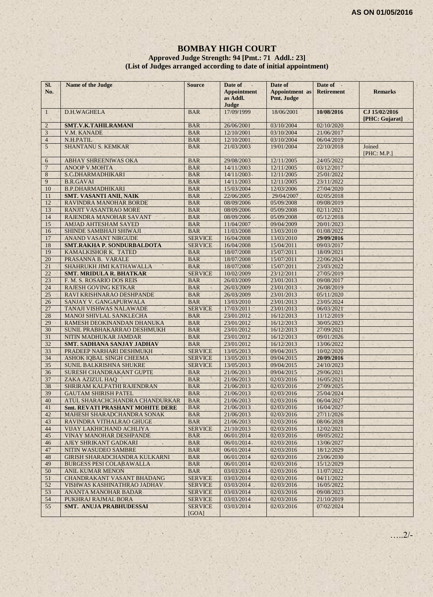#### **BOMBAY HIGH COURT Approved Judge Strength: 94 [Pmt.: 71 Addl.: 23] (List of Judges arranged according to date of initial appointment)**

| Sl.<br>No.     | Name of the Judge                                          | <b>Source</b>                | Date of<br><b>Appointment</b><br>as Addl.<br>Judge | Date of<br><b>Appointment</b> as<br>Pmt. Judge | Date of<br><b>Retirement</b> | <b>Remarks</b>                  |
|----------------|------------------------------------------------------------|------------------------------|----------------------------------------------------|------------------------------------------------|------------------------------|---------------------------------|
| $\mathbf{1}$   | D.H.WAGHELA                                                | <b>BAR</b>                   | 17/09/1999                                         | 18/06/2001                                     | 10/08/2016                   | CJ 15/02/2016<br>[PHC: Gujarat] |
| $\overline{2}$ | <b>SMT.V.K.TAHILRAMANI</b>                                 | <b>BAR</b>                   | 26/06/2001                                         | 03/10/2004                                     | 02/10/2020                   |                                 |
| 3              | <b>V.M. KANADE</b>                                         | <b>BAR</b>                   | 12/10/2001                                         | 03/10/2004                                     | 21/06/2017                   |                                 |
| $\overline{4}$ | N.H.PATIL                                                  | <b>BAR</b>                   | 12/10/2001                                         | 03/10/2004                                     | 06/04/2019                   |                                 |
| 5              | <b>SHANTANU S. KEMKAR</b>                                  | <b>BAR</b>                   | 21/03/2003                                         | 19/01/2004                                     | 22/10/2018                   | Joined<br>[PHC: M.P.]           |
| 6              | <b>ABHAY SHREENIWAS OKA</b>                                | <b>BAR</b>                   | 29/08/2003                                         | 12/11/2005                                     | 24/05/2022                   |                                 |
| $\overline{7}$ | <b>ANOOP V.MOHTA</b>                                       | <b>BAR</b>                   | 14/11/2003                                         | 12/11/2005                                     | 03/12/2017                   |                                 |
| 8              | S.C.DHARMADHIKARI                                          | <b>BAR</b>                   | 14/11/2003                                         | 12/11/2005                                     | 25/01/2022                   |                                 |
| 9              | <b>B.R.GAVAI</b>                                           | <b>BAR</b>                   | 14/11/2003                                         | 12/11/2005                                     | 23/11/2022                   |                                 |
| 10             | <b>B.P.DHARMADHIKARI</b>                                   | <b>BAR</b>                   | 15/03/2004                                         | 12/03/2006                                     | 27/04/2020                   |                                 |
| 11             | <b>SMT. VASANTI ANIL NAIK</b>                              | <b>BAR</b>                   | 22/06/2005                                         | 29/04/2007                                     | 02/05/2018                   |                                 |
| 12             | RAVINDRA MANOHAR BORDE                                     | <b>BAR</b>                   | 08/09/2006                                         | 05/09/2008                                     | 09/08/2019                   |                                 |
| 13             | <b>RANJIT VASANTRAO MORE</b>                               | <b>BAR</b>                   | 08/09/2006                                         | 05/09/2008                                     | 02/11/2021                   |                                 |
| 14             | RAJENDRA MANOHAR SAVANT                                    | <b>BAR</b>                   | 08/09/2006                                         | 05/09/2008                                     | 05/12/2018                   |                                 |
| 15             | <b>AMJAD AHTESHAM SAYED</b>                                | <b>BAR</b>                   | 11/04/2007                                         | 09/04/2009                                     | 20/01/2023                   |                                 |
| 16             | SHINDE SAMBHAJI SHIWAJI                                    | <b>BAR</b>                   | 11/03/2008                                         | 13/03/2010                                     | 01/08/2022                   |                                 |
| 17             | <b>ANAND VASANT NIRGUDE</b>                                | <b>SERVICE</b>               | 16/04/2008                                         | 13/03/2010                                     | 29/09/2016                   |                                 |
| 18             | SMT.RAKHA P. SONDURBALDOTA                                 | <b>SERVICE</b>               | 16/04/2008                                         | 15/04/2011                                     | 09/03/2017                   |                                 |
| 19             | KAMALKISHOR K. TATED                                       | <b>BAR</b>                   | 18/07/2008                                         | 15/07/2011                                     | 18/09/2021                   |                                 |
| 20             | PRASANNA B. VARALE                                         | <b>BAR</b>                   | 18/07/2008                                         | 15/07/2011                                     | 22/06/2024                   |                                 |
| 21             | SHAHRUKH JIMI KATHAWALLA                                   | <b>BAR</b>                   | 18/07/2008                                         | 15/07/2011                                     | 23/03/2022                   |                                 |
| 22             | <b>SMT. MRIDULA R. BHATKAR</b>                             | <b>SERVICE</b>               | 10/02/2009                                         | 23/12/2011                                     | 27/05/2019                   |                                 |
| 23             | F. M. S. ROSARIO DOS REIS                                  | <b>BAR</b>                   | 26/03/2009                                         | 23/01/2013                                     | 09/08/2017                   |                                 |
| 24             | <b>RAJESH GOVING KETKAR</b>                                | <b>BAR</b>                   | 26/03/2009                                         | 23/01/2013                                     | 26/08/2019                   |                                 |
| 25             | RAVI KRISHNARAO DESHPANDE                                  | <b>BAR</b>                   | 26/03/2009                                         | 23/01/2013                                     | 05/11/2020                   |                                 |
| 26             | SANJAY V. GANGAPURWALA                                     | <b>BAR</b>                   | 13/03/2010                                         | 23/01/2013                                     | 23/05/2024                   |                                 |
| 27             | TANAJI VISHWAS NALAWADE                                    | <b>SERVICE</b>               | 17/03/2011                                         | 23/01/2013                                     | 06/03/2021                   |                                 |
| 28             | <b>MANOJ SHIVLAL SANKLECHA</b>                             | <b>BAR</b>                   | 23/01/2012                                         | 16/12/2013                                     | 11/12/2019                   |                                 |
| 29             | RAMESH DEOKINANDAN DHANUKA                                 | <b>BAR</b>                   | 23/01/2012                                         | 16/12/2013                                     | 30/05/2023                   |                                 |
| 30             | SUNIL PRABHAKARRAO DESHMUKH                                | <b>BAR</b>                   | 23/01/2012                                         | 16/12/2013                                     | 27/09/2021                   |                                 |
| 31             | NITIN MADHUKAR JAMDAR                                      | <b>BAR</b>                   | 23/01/2012                                         | 16/12/2013                                     | 09/01/2026                   |                                 |
| 32             | SMT. SADHANA SANJAY JADHAV                                 | <b>BAR</b>                   | 23/01/2012                                         | 16/12/2013                                     | 13/06/2022                   |                                 |
| 33             | PRADEEP NARHARI DESHMUKH                                   | <b>SERVICE</b>               | 13/05/2013                                         | 09/04/2015                                     | 10/02/2020                   |                                 |
| 34             | ASHOK IQBAL SINGH CHEEMA                                   | <b>SERVICE</b>               | 13/05/2013                                         | 09/04/2015                                     | 20/09/2016                   |                                 |
| 35             | SUNIL BALKRISHNA SHUKRE                                    | <b>SERVICE</b>               | 13/05/2013                                         | 09/04/2015                                     | 24/10/2023                   |                                 |
| 36             | SURESH CHANDRAKANT GUPTE                                   | <b>BAR</b>                   | 21/06/2013                                         | 09/04/2015                                     | 29/06/2021                   |                                 |
| 37             | ZAKA AZIZUL HAQ                                            | <b>BAR</b>                   | 21/06/2013                                         | 02/03/2016                                     | 16/05/2021                   |                                 |
| 38             | SHRIRAM KALPATHI RAJENDRAN                                 | <b>BAR</b>                   | 21/06/2013                                         | 02/03/2016                                     | 27/09/2025                   |                                 |
| 39             | <b>GAUTAM SHIRISH PATEL</b>                                | <b>BAR</b>                   | 21/06/2013                                         | 02/03/2016                                     | 25/04/2024                   |                                 |
| 40             | ATUL SHARACHCHANDRA CHANDURKAR                             | <b>BAR</b>                   | 21/06/2013                                         | 02/03/2016                                     | 06/04/2027                   |                                 |
| 41             | <b>Smt. REVATI PRASHANT MOHITE DERE</b>                    | <b>BAR</b>                   | 21/06/2013                                         | 02/03/2016                                     | 16/04/2027                   |                                 |
| 42             | MAHESH SHARADCHANDRA SONAK                                 | <b>BAR</b>                   | 21/06/2013                                         | 02/03/2016                                     | 27/11/2026                   |                                 |
| 43             | RAVINDRA VITHALRAO GHUGE                                   | <b>BAR</b><br><b>SERVICE</b> | 21/06/2013                                         | 02/03/2016                                     | 08/06/2028                   |                                 |
| 44<br>45       | VIJAY LAKHICHAND ACHLIYA<br><b>VINAY MANOHAR DESHPANDE</b> |                              | 21/10/2013<br>06/01/2014                           | 02/03/2016<br>02/03/2016                       | 12/02/2021<br>09/05/2022     |                                 |
|                |                                                            | <b>BAR</b>                   |                                                    | 02/03/2016                                     |                              |                                 |
| 46<br>47       | AJEY SHRIKANT GADKARI<br>NITIN WASUDEO SAMBRE              | <b>BAR</b><br><b>BAR</b>     | 06/01/2014<br>06/01/2014                           | 02/03/2016                                     | 13/06/2027<br>18/12/2029     |                                 |
|                |                                                            |                              |                                                    |                                                |                              |                                 |
| 48<br>49       | GIRISH SHARADCHANDRA KULKARNI                              | <b>BAR</b>                   | 06/01/2014                                         | 02/03/2016                                     | 23/06/2030                   |                                 |
|                | <b>BURGESS PESI COLABAWALLA</b><br><b>ANIL KUMAR MENON</b> | <b>BAR</b>                   | 06/01/2014                                         | 02/03/2016                                     | 15/12/2029                   |                                 |
| 50<br>51       | <b>CHANDRAKANT VASANT BHADANG</b>                          | <b>BAR</b><br><b>SERVICE</b> | 03/03/2014<br>03/03/2014                           | 02/03/2016<br>02/03/2016                       | 11/07/2022<br>04/11/2022     |                                 |
| 52             | VISHWAS KASHINATHRAO JADHAV                                | <b>SERVICE</b>               | 03/03/2014                                         | 02/03/2016                                     | 16/05/2022                   |                                 |
| 53             | ANANTA MANOHAR BADAR                                       | <b>SERVICE</b>               | 03/03/2014                                         | 02/03/2016                                     | 09/08/2023                   |                                 |
| 54             | PUKHRAJ RAJMAL BORA                                        | <b>SERVICE</b>               | 03/03/2014                                         | 02/03/2016                                     | 21/10/2019                   |                                 |
| 55             | SMT. ANUJA PRABHUDESSAI                                    | <b>SERVICE</b>               | 03/03/2014                                         | 02/03/2016                                     | 07/02/2024                   |                                 |
|                |                                                            | [GOA]                        |                                                    |                                                |                              |                                 |

…..2/-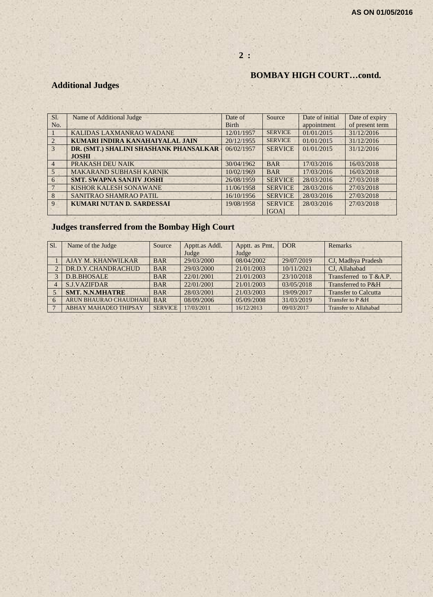#### **2 :**

#### **BOMBAY HIGH COURT…contd.**

# **Additional Judges**

| Sl.            | Name of Additional Judge               | Date of      | Source         | Date of initial | Date of expiry  |
|----------------|----------------------------------------|--------------|----------------|-----------------|-----------------|
| No.            |                                        | <b>Birth</b> |                | appointment     | of present term |
|                | KALIDAS LAXMANRAO WADANE               | 12/01/1957   | <b>SERVICE</b> | 01/01/2015      | 31/12/2016      |
| $\mathcal{L}$  | KUMARI INDIRA KANAHAIYALAL JAIN        | 20/12/1955   | <b>SERVICE</b> | 01/01/2015      | 31/12/2016      |
| 3              | DR. (SMT.) SHALINI SHASHANK PHANSALKAR | 06/02/1957   | <b>SERVICE</b> | 01/01/2015      | 31/12/2016      |
|                | <b>JOSHI</b>                           |              |                |                 |                 |
| $\overline{4}$ | PRAKASH DEU NAIK                       | 30/04/1962   | <b>BAR</b>     | 17/03/2016      | 16/03/2018      |
| 5              | <b>MAKARAND SUBHASH KARNIK</b>         | 10/02/1969   | <b>BAR</b>     | 17/03/2016      | 16/03/2018      |
| 6              | <b>SMT. SWAPNA SANJIV JOSHI</b>        | 26/08/1959   | <b>SERVICE</b> | 28/03/2016      | 27/03/2018      |
|                | KISHOR KALESH SONAWANE                 | 11/06/1958   | <b>SERVICE</b> | 28/03/2016      | 27/03/2018      |
| 8              | SANITRAO SHAMRAO PATIL                 | 16/10/1956   | <b>SERVICE</b> | 28/03/2016      | 27/03/2018      |
| 9              | <b>KUMARI NUTAN D. SARDESSAI</b>       | 19/08/1958   | <b>SERVICE</b> | 28/03/2016      | 27/03/2018      |
|                |                                        |              | [GOA]          |                 |                 |

# **Judges transferred from the Bombay High Court**

| Sl. | Name of the Judge            | Source         | Apptt.as Addl. | Apptt. as Pmt. | DOR <sub>1</sub> | <b>Remarks</b>               |
|-----|------------------------------|----------------|----------------|----------------|------------------|------------------------------|
|     |                              |                | Judge          | Judge          |                  |                              |
|     | AJAY M. KHANWILKAR           | <b>BAR</b>     | 29/03/2000     | 08/04/2002     | 29/07/2019       | CJ, Madhya Pradesh           |
|     | DR.D.Y.CHANDRACHUD           | <b>BAR</b>     | 29/03/2000     | 21/01/2003     | 10/11/2021       | CJ. Allahabad                |
|     | <b>D.B.BHOSALE</b>           | <b>BAR</b>     | 22/01/2001     | 21/01/2003     | 23/10/2018       | Transferred to T &A.P.       |
|     | <b>S.J.VAZIFDAR</b>          | <b>BAR</b>     | 22/01/2001     | 21/01/2003     | 03/05/2018       | Transferred to P&H           |
|     | <b>SMT. N.N.MHATRE</b>       | <b>BAR</b>     | 28/03/2001     | 21/03/2003     | 19/09/2017       | <b>Transfer to Calcutta</b>  |
|     | ARUN BHAURAO CHAUDHARI       | <b>BAR</b>     | 08/09/2006     | 05/09/2008     | 31/03/2019       | Transfer to P & H            |
|     | <b>ABHAY MAHADEO THIPSAY</b> | <b>SERVICE</b> | 17/03/2011     | 16/12/2013     | 09/03/2017       | <b>Transfer to Allahabad</b> |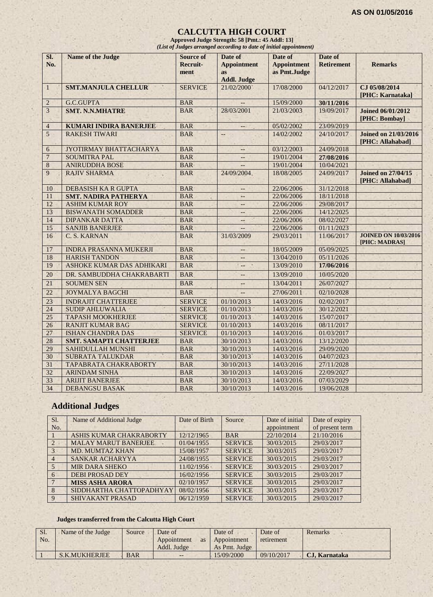#### **CALCUTTA HIGH COURT**

**Approved Judge Strength: 58 [Pmt.: 45 Addl: 13]** *(List of Judges arranged according to date of initial appointment)*

| SI.<br>No.      | <b>Name of the Judge</b>         | <b>Source of</b><br><b>Recruit-</b><br>ment | Date of<br><b>Appointment</b><br><b>as</b><br><b>Addl. Judge</b> | Date of<br><b>Appointment</b><br>as Pmt.Judge | Date of<br><b>Retirement</b> | <b>Remarks</b>                                  |
|-----------------|----------------------------------|---------------------------------------------|------------------------------------------------------------------|-----------------------------------------------|------------------------------|-------------------------------------------------|
| $\mathbf{1}$    | <b>SMT.MANJULA CHELLUR</b>       | <b>SERVICE</b>                              | 21/02/2000                                                       | 17/08/2000                                    | 04/12/2017                   | CJ 05/08/2014<br>[PHC: Karnataka]               |
| $\overline{2}$  | <b>G.C.GUPTA</b>                 | <b>BAR</b>                                  |                                                                  | 15/09/2000                                    | 30/11/2016                   |                                                 |
| 3               | <b>SMT. N.N.MHATRE</b>           | <b>BAR</b>                                  | 28/03/2001                                                       | 21/03/2003                                    | 19/09/2017                   | <b>Joined 06/01/2012</b><br>[PHC: Bombay]       |
| $\overline{4}$  | <b>KUMARI INDIRA BANERJEE</b>    | <b>BAR</b>                                  | $\overline{\phantom{a}}$                                         | 05/02/2002                                    | 23/09/2019                   |                                                 |
| 5               | <b>RAKESH TIWARI</b>             | <b>BAR</b>                                  | $--$                                                             | 14/02/2002                                    | 24/10/2017                   | <b>Joined on 21/03/2016</b><br>[PHC: Allahabad] |
| 6               | JYOTIRMAY BHATTACHARYA           | <b>BAR</b>                                  | $\overline{\phantom{a}}$                                         | 03/12/2003                                    | 24/09/2018                   |                                                 |
| $\overline{7}$  | <b>SOUMITRA PAL</b>              | <b>BAR</b>                                  | $\qquad \qquad -$                                                | 19/01/2004                                    | 27/08/2016                   |                                                 |
| 8               | <b>ANIRUDDHA BOSE</b>            | <b>BAR</b>                                  |                                                                  | 19/01/2004                                    | 10/04/2021                   |                                                 |
| $\overline{Q}$  | <b>RAJIV SHARMA</b>              | <b>BAR</b>                                  | 24/09/2004                                                       | 18/08/2005                                    | 24/09/2017                   | <b>Joined on 27/04/15</b><br>[PHC: Allahabad]   |
| 10              | DEBASISH KA R GUPTA              | <b>BAR</b>                                  | $-$                                                              | 22/06/2006                                    | 31/12/2018                   |                                                 |
| 11              | <b>SMT. NADIRA PATHERYA</b>      | <b>BAR</b>                                  | $\equiv$ $\equiv$                                                | 22/06/2006                                    | 18/11/2018                   |                                                 |
| 12              | <b>ASHIM KUMAR ROY</b>           | <b>BAR</b>                                  | $\overline{\phantom{a}}$                                         | 22/06/2006                                    | 29/08/2017                   |                                                 |
| 13              | <b>BISWANATH SOMADDER</b>        | <b>BAR</b>                                  | $\qquad \qquad -$                                                | 22/06/2006                                    | 14/12/2025                   |                                                 |
| 14              | <b>DIPANKAR DATTA</b>            | <b>BAR</b>                                  |                                                                  | 22/06/2006                                    | 08/02/2027                   |                                                 |
| 15              | <b>SANJIB BANERJEE</b>           | <b>BAR</b>                                  |                                                                  | 22/06/2006                                    | 01/11/2023                   |                                                 |
| 16              | C. S. KARNAN                     | <b>BAR</b>                                  | 31/03/2009                                                       | 29/03/2011                                    | 11/06/2017                   | <b>JOINED ON 10/03/2016</b><br>[PHC: MADRAS]    |
| 17              | <b>INDRA PRASANNA MUKERJI</b>    | <b>BAR</b>                                  | $\qquad \qquad -$                                                | 18/05/2009                                    | 05/09/2025                   |                                                 |
| 18              | <b>HARISH TANDON</b>             | <b>BAR</b>                                  | $\overline{\phantom{a}}$                                         | 13/04/2010                                    | 05/11/2026                   |                                                 |
| 19              | <b>ASHOKE KUMAR DAS ADHIKARI</b> | <b>BAR</b>                                  | $-$                                                              | 13/09/2010                                    | 17/06/2016                   |                                                 |
| 20              | DR. SAMBUDDHA CHAKRABARTI        | <b>BAR</b>                                  | $\overline{\phantom{a}}$                                         | 13/09/2010                                    | 10/05/2020                   |                                                 |
| 21              | <b>SOUMEN SEN</b>                | <b>BAR</b>                                  | $\equiv$                                                         | 13/04/2011                                    | 26/07/2027                   |                                                 |
| 22              | <b>JOYMALYA BAGCHI</b>           | <b>BAR</b>                                  |                                                                  | 27/06/2011                                    | 02/10/2028                   |                                                 |
| 23              | <b>INDRAJIT CHATTERJEE</b>       | <b>SERVICE</b>                              | 01/10/2013                                                       | 14/03/2016                                    | 02/02/2017                   |                                                 |
| 24              | <b>SUDIP AHLUWALIA</b>           | <b>SERVICE</b>                              | 01/10/2013                                                       | 14/03/2016                                    | 30/12/2021                   |                                                 |
| $\overline{25}$ | <b>TAPASH MOOKHERJEE</b>         | <b>SERVICE</b>                              | 01/10/2013                                                       | 14/03/2016                                    | 15/07/2017                   |                                                 |
| 26              | <b>RANJIT KUMAR BAG</b>          | <b>SERVICE</b>                              | 01/10/2013                                                       | 14/03/2016                                    | 08/11/2017                   |                                                 |
| $\overline{27}$ | <b>ISHAN CHANDRA DAS</b>         | <b>SERVICE</b>                              | 01/10/2013                                                       | 14/03/2016                                    | 01/03/2017                   |                                                 |
| 28              | <b>SMT. SAMAPTI CHATTERJEE</b>   | <b>BAR</b>                                  | 30/10/2013                                                       | 14/03/2016                                    | 13/12/2020                   |                                                 |
| 29              | <b>SAHIDULLAH MUNSHI</b>         | <b>BAR</b>                                  | 30/10/2013                                                       | 14/03/2016                                    | 29/09/2020                   |                                                 |
| 30              | <b>SUBRATA TALUKDAR</b>          | <b>BAR</b>                                  | 30/10/2013                                                       | 14/03/2016                                    | 04/07/2023                   |                                                 |
| 31              | TAPABRATA CHAKRABORTY            | <b>BAR</b>                                  | 30/10/2013                                                       | 14/03/2016                                    | 27/11/2028                   |                                                 |
| 32              | <b>ARINDAM SINHA</b>             | <b>BAR</b>                                  | 30/10/2013                                                       | 14/03/2016                                    | 22/09/2027                   |                                                 |
| 33              | <b>ARIJIT BANERJEE</b>           | <b>BAR</b>                                  | 30/10/2013                                                       | 14/03/2016                                    | 07/03/2029                   |                                                 |
| 34              | <b>DEBANGSU BASAK</b>            | <b>BAR</b>                                  | 30/10/2013                                                       | 14/03/2016                                    | 19/06/2028                   |                                                 |

# **Additional Judges**

| Sl.            | Name of Additional Judge    | Date of Birth | Source         | Date of initial | Date of expiry  |
|----------------|-----------------------------|---------------|----------------|-----------------|-----------------|
| No.            |                             |               |                | appointment     | of present term |
|                | ASHIS KUMAR CHAKRABORTY     | 12/12/1965    | <b>BAR</b>     | 22/10/2014      | 21/10/2016      |
| $\mathcal{D}$  | <b>MALAY MARUT BANERJEE</b> | 01/04/1955    | <b>SERVICE</b> | 30/03/2015      | 29/03/2017      |
| $\overline{3}$ | <b>MD. MUMTAZ KHAN</b>      | 15/08/1957    | <b>SERVICE</b> | 30/03/2015      | 29/03/2017      |
| $\overline{4}$ | SANKAR ACHARYYA             | 24/08/1955    | <b>SERVICE</b> | 30/03/2015      | 29/03/2017      |
| $\sim$         | <b>MIR DARA SHEKO</b>       | 11/02/1956    | <b>SERVICE</b> | 30/03/2015      | 29/03/2017      |
| 6              | <b>DEBI PROSAD DEY</b>      | 16/02/1956    | <b>SERVICE</b> | 30/03/2015      | 29/03/2017      |
|                | <b>MISS ASHA ARORA</b>      | 02/10/1957    | <b>SERVICE</b> | 30/03/2015      | 29/03/2017      |
| 8              | SIDDHARTHA CHATTOPADHYAY    | 08/02/1956    | <b>SERVICE</b> | 30/03/2015      | 29/03/2017      |
| $\mathbf{Q}$   | <b>SHIVAKANT PRASAD</b>     | 06/12/1959    | <b>SERVICE</b> | 30/03/2015      | 29/03/2017      |

#### **Judges transferred from the Calcutta High Court**

| Sl. | Name of the Judge | Source     | Date of                  | Date of       | Date of    | Remarks              |
|-----|-------------------|------------|--------------------------|---------------|------------|----------------------|
| No. |                   |            | Appointment<br><b>as</b> | Appointment   | retirement |                      |
|     |                   |            | Addl. Judge              | As Pmt. Judge |            |                      |
|     | S.K.MUKHERJEE     | <b>BAR</b> | $--$                     | 15/09/2000    | 09/10/2017 | <b>CJ. Karnataka</b> |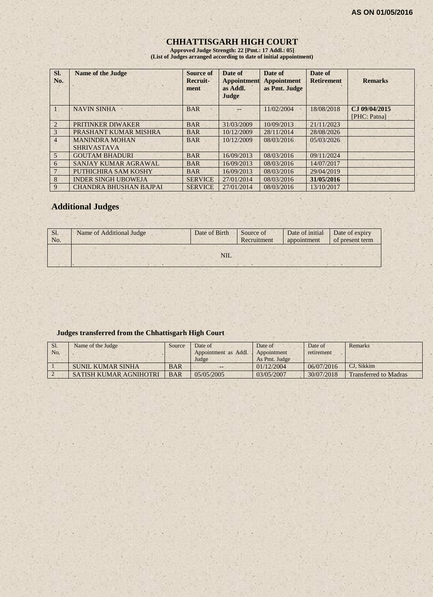# **CHHATTISGARH HIGH COURT**

**Approved Judge Strength: 22 [Pmt.: 17 Addl.: 05] (List of Judges arranged according to date of initial appointment)**

| SI.<br>No.     | <b>Name of the Judge</b>                    | Source of<br><b>Recruit-</b><br>ment | Date of<br><b>Appointment</b><br>as Addl.<br>Judge | Date of<br><b>Appointment</b><br>as Pmt. Judge | Date of<br><b>Retirement</b> | <b>Remarks</b>                |
|----------------|---------------------------------------------|--------------------------------------|----------------------------------------------------|------------------------------------------------|------------------------------|-------------------------------|
|                | <b>NAVIN SINHA</b>                          | <b>BAR</b>                           |                                                    | 11/02/2004                                     | 18/08/2018                   | CJ 09/04/2015<br>[PHC: Patna] |
| $\overline{2}$ | <b>PRITINKER DIWAKER</b>                    | <b>BAR</b>                           | 31/03/2009                                         | 10/09/2013                                     | 21/11/2023                   |                               |
| 3              | PRASHANT KUMAR MISHRA                       | <b>BAR</b>                           | 10/12/2009                                         | 28/11/2014                                     | 28/08/2026                   |                               |
| $\overline{4}$ | <b>MANINDRA MOHAN</b><br><b>SHRIVASTAVA</b> | <b>BAR</b>                           | 10/12/2009                                         | 08/03/2016                                     | 05/03/2026                   |                               |
| $\overline{5}$ | <b>GOUTAM BHADURI</b>                       | <b>BAR</b>                           | 16/09/2013                                         | 08/03/2016                                     | 09/11/2024                   |                               |
| 6              | SANJAY KUMAR AGRAWAL                        | <b>BAR</b>                           | 16/09/2013                                         | 08/03/2016                                     | 14/07/2017                   |                               |
|                | PUTHICHIRA SAM KOSHY                        | <b>BAR</b>                           | 16/09/2013                                         | 08/03/2016                                     | 29/04/2019                   |                               |
| 8              | <b>INDER SINGH UBOWEJA</b>                  | <b>SERVICE</b>                       | 27/01/2014                                         | 08/03/2016                                     | 31/05/2016                   |                               |
| 9              | <b>CHANDRA BHUSHAN BAJPAI</b>               | <b>SERVICE</b>                       | 27/01/2014                                         | 08/03/2016                                     | 13/10/2017                   |                               |

# **Additional Judges**

| Sl.<br>No. | Name of Additional Judge | Date of Birth | Source of<br>Recruitment | Date of initial<br>appointment | Date of expiry<br>of present term |
|------------|--------------------------|---------------|--------------------------|--------------------------------|-----------------------------------|
|            |                          | <b>NIL</b>    |                          |                                |                                   |

#### **Judges transferred from the Chhattisgarh High Court**

| Sl.<br>No. | Name of the Judge             | Source     | Date of<br>Appointment as Addl.<br>Judge | Date of<br>Appointment<br>As Pmt. Judge | Date of<br>retirement | <b>Remarks</b>               |
|------------|-------------------------------|------------|------------------------------------------|-----------------------------------------|-----------------------|------------------------------|
|            | SUNIL KUMAR SINHA             | <b>BAR</b> | $- -$                                    | 01/12/2004                              | 06/07/2016            | CJ. Sikkim                   |
|            | <b>SATISH KUMAR AGNIHOTRI</b> | <b>BAR</b> | 05/05/2005                               | 03/05/2007                              | 30/07/2018            | <b>Transferred to Madras</b> |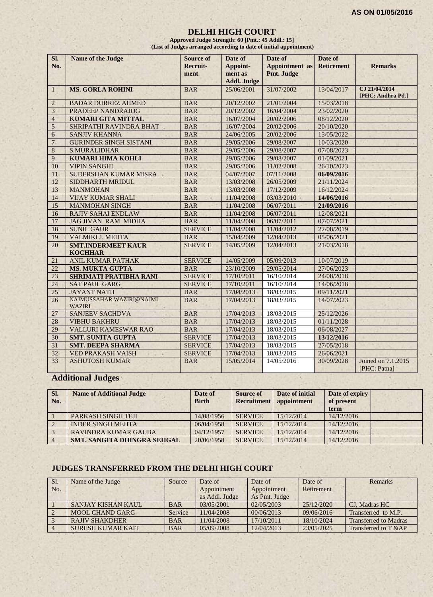#### **DELHI HIGH COURT**

**Approved Judge Strength: 60 [Pmt.: 45 Addl.: 15] (List of Judges arranged according to date of initial appointment)**

| SI.<br>No.     | Name of the Judge                           | <b>Source of</b><br>Recruit-<br>ment | Date of<br>Appoint-<br>ment as<br><b>Addl. Judge</b> | Date of<br><b>Appointment</b> as<br>Pmt. Judge | Date of<br><b>Retirement</b> | <b>Remarks</b>                     |
|----------------|---------------------------------------------|--------------------------------------|------------------------------------------------------|------------------------------------------------|------------------------------|------------------------------------|
| $\mathbf{1}$   | <b>MS. GORLA ROHINI</b>                     | <b>BAR</b>                           | 25/06/2001                                           | 31/07/2002                                     | 13/04/2017                   | CJ 21/04/2014<br>[PHC: Andhra Pd.] |
| $\overline{2}$ | <b>BADAR DURREZ AHMED</b>                   | <b>BAR</b>                           | 20/12/2002                                           | 21/01/2004                                     | 15/03/2018                   |                                    |
| 3              | <b>PRADEEP NANDRAJOG</b>                    | <b>BAR</b>                           | 20/12/2002                                           | 16/04/2004                                     | 23/02/2020                   |                                    |
| $\overline{4}$ | <b>KUMARI GITA MITTAL</b>                   | <b>BAR</b>                           | 16/07/2004                                           | 20/02/2006                                     | 08/12/2020                   |                                    |
| $\overline{5}$ | SHRIPATHI RAVINDRA BHAT                     | <b>BAR</b>                           | 16/07/2004                                           | 20/02/2006                                     | 20/10/2020                   |                                    |
| 6              | <b>SANJIV KHANNA</b>                        | <b>BAR</b>                           | 24/06/2005                                           | 20/02/2006                                     | 13/05/2022                   |                                    |
| $\overline{7}$ | <b>GURINDER SINGH SISTANI</b>               | <b>BAR</b>                           | 29/05/2006                                           | 29/08/2007                                     | 10/03/2020                   |                                    |
| 8              | <b>S.MURALIDHAR</b>                         | <b>BAR</b>                           | 29/05/2006                                           | 29/08/2007                                     | 07/08/2023                   |                                    |
| 9              | <b>KUMARI HIMA KOHLI</b>                    | <b>BAR</b>                           | 29/05/2006                                           | 29/08/2007                                     | 01/09/2021                   |                                    |
| 10             | <b>VIPIN SANGHI</b>                         | <b>BAR</b>                           | 29/05/2006                                           | 11/02/2008                                     | 26/10/2023                   |                                    |
| 11             | SUDERSHAN KUMAR MISRA                       | <b>BAR</b>                           | 04/07/2007                                           | 07/11/2008                                     | 06/09/2016                   |                                    |
| 12             | SIDDHARTH MRIDUL                            | <b>BAR</b>                           | 13/03/2008                                           | 26/05/2009                                     | 21/11/2024                   |                                    |
| 13             | <b>MANMOHAN</b>                             | <b>BAR</b>                           | 13/03/2008                                           | 17/12/2009                                     | 16/12/2024                   |                                    |
| 14             | <b>VIJAY KUMAR SHALI</b>                    | <b>BAR</b>                           | 11/04/2008                                           | 03/03/2010                                     | 14/06/2016                   |                                    |
| 15             | <b>MANMOHAN SINGH</b>                       | <b>BAR</b>                           | 11/04/2008                                           | 06/07/2011                                     | 21/09/2016                   |                                    |
| 16             | <b>RAJIV SAHAI ENDLAW</b>                   | <b>BAR</b>                           | 11/04/2008                                           | 06/07/2011                                     | 12/08/2021                   |                                    |
| 17             | <b>JAG JIVAN RAM MIDHA</b>                  | <b>BAR</b>                           | 11/04/2008                                           | 06/07/2011                                     | 07/07/2021                   |                                    |
| 18             | <b>SUNIL GAUR</b>                           | <b>SERVICE</b>                       | 11/04/2008                                           | 11/04/2012                                     | 22/08/2019                   |                                    |
| 19             | VALMIKI J. MEHTA                            | <b>BAR</b>                           | 15/04/2009                                           | 12/04/2013                                     | 05/06/2021                   |                                    |
| 20             | <b>SMT.INDERMEET KAUR</b><br><b>KOCHHAR</b> | <b>SERVICE</b>                       | 14/05/2009                                           | 12/04/2013                                     | 21/03/2018                   |                                    |
| 21             | <b>ANIL KUMAR PATHAK</b>                    | <b>SERVICE</b>                       | 14/05/2009                                           | 05/09/2013                                     | 10/07/2019                   |                                    |
| 22             | <b>MS. MUKTA GUPTA</b>                      | <b>BAR</b>                           | 23/10/2009                                           | 29/05/2014                                     | 27/06/2023                   |                                    |
| 23             | <b>SHRIMATI PRATIBHA RANI</b>               | <b>SERVICE</b>                       | 17/10/2011                                           | 16/10/2014                                     | 24/08/2018                   |                                    |
| 24             | <b>SAT PAUL GARG</b>                        | <b>SERVICE</b>                       | 17/10/2011                                           | 16/10/2014                                     | 14/06/2018                   |                                    |
| 25             | <b>JAYANT NATH</b>                          | <b>BAR</b>                           | 17/04/2013                                           | 18/03/2015                                     | 09/11/2021                   |                                    |
| 26             | NAJMUSSAHAR WAZIRI@NAJMI<br><b>WAZIRI</b>   | <b>BAR</b>                           | 17/04/2013                                           | 18/03/2015                                     | 14/07/2023                   |                                    |
| 27             | <b>SANJEEV SACHDVA</b>                      | <b>BAR</b>                           | 17/04/2013                                           | 18/03/2015                                     | 25/12/2026                   |                                    |
| 28             | <b>VIBHU BAKHRU</b>                         | <b>BAR</b>                           | 17/04/2013                                           | 18/03/2015                                     | 01/11/2028                   |                                    |
| 29             | <b>VALLURI KAMESWAR RAO</b>                 | <b>BAR</b>                           | 17/04/2013                                           | 18/03/2015                                     | 06/08/2027                   |                                    |
| 30             | <b>SMT. SUNITA GUPTA</b>                    | <b>SERVICE</b>                       | 17/04/2013                                           | 18/03/2015                                     | 13/12/2016                   |                                    |
| 31             | <b>SMT. DEEPA SHARMA</b>                    | <b>SERVICE</b>                       | 17/04/2013                                           | 18/03/2015                                     | 27/05/2018                   |                                    |
| 32             | <b>VED PRAKASH VAISH</b>                    | <b>SERVICE</b>                       | 17/04/2013                                           | 18/03/2015                                     | 26/06/2021                   |                                    |
| 33             | <b>ASHUTOSH KUMAR</b>                       | <b>BAR</b>                           | 15/05/2014                                           | 14/05/2016                                     | 30/09/2028                   | Joined on 7.1.2015<br>[PHC: Patna] |

# **Additional Judges**

| SI.<br>No. | <b>Name of Additional Judge</b>    | Date of<br><b>Birth</b> | <b>Source of</b><br><b>Recruitment</b> | Date of initial<br>appointment | Date of expiry<br>of present<br>term |  |
|------------|------------------------------------|-------------------------|----------------------------------------|--------------------------------|--------------------------------------|--|
|            | <b>PARKASH SINGH TEJI</b>          | 14/08/1956              | <b>SERVICE</b>                         | 15/12/2014                     | 14/12/2016                           |  |
|            | <b>INDER SINGH MEHTA</b>           | 06/04/1958              | <b>SERVICE</b>                         | 15/12/2014                     | 14/12/2016                           |  |
|            | RAVINDRA KUMAR GAUBA               | 04/12/1957              | <b>SERVICE</b>                         | 15/12/2014                     | 14/12/2016                           |  |
|            | <b>SMT. SANGITA DHINGRA SEHGAL</b> | 20/06/1958              | <b>SERVICE</b>                         | 15/12/2014                     | 14/12/2016                           |  |

#### **JUDGES TRANSFERRED FROM THE DELHI HIGH COURT**

| Sl. | Name of the Judge        | Source     | Date of        | Date of       | Date of    | Remarks                      |
|-----|--------------------------|------------|----------------|---------------|------------|------------------------------|
| No. |                          |            | Appointment    | Appointment   | Retirement |                              |
|     |                          |            | as Addl. Judge | As Pmt. Judge |            |                              |
|     | SANJAY KISHAN KAUL.      | <b>BAR</b> | 03/05/2001     | 02/05/2003    | 25/12/2020 | CJ, Madras HC                |
|     | <b>MOOL CHAND GARG</b>   | Service    | 11/04/2008     | 00/06/2013    | 09/06/2016 | Transferred to M.P.          |
|     | <b>RAJIV SHAKDHER</b>    | <b>BAR</b> | 11/04/2008     | 17/10/2011    | 18/10/2024 | <b>Transferred to Madras</b> |
|     | <b>SURESH KUMAR KAIT</b> | <b>BAR</b> | 05/09/2008     | 12/04/2013    | 23/05/2025 | Transferred to T &AP         |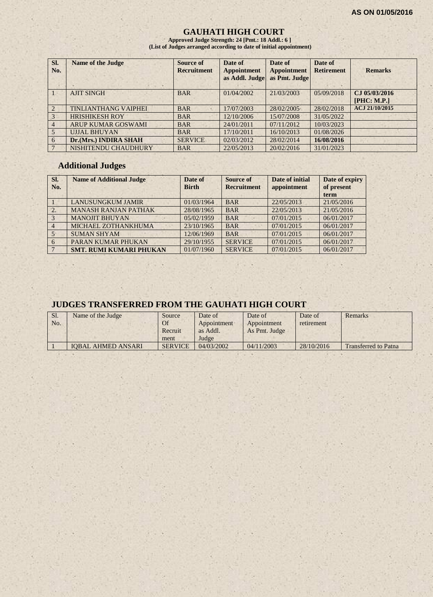#### **GAUHATI HIGH COURT**

**Approved Judge Strength: 24 [Pmt.: 18 Addl.: 6 ] (List of Judges arranged according to date of initial appointment)**

| SI.<br>No.     | <b>Name of the Judge</b>    | Source of<br><b>Recruitment</b> | Date of<br><b>Appointment</b><br>as Addl. Judge | Date of<br><b>Appointment</b><br>as Pmt. Judge | Date of<br><b>Retirement</b> | <b>Remarks</b>               |
|----------------|-----------------------------|---------------------------------|-------------------------------------------------|------------------------------------------------|------------------------------|------------------------------|
|                | <b>AJIT SINGH</b>           | <b>BAR</b>                      | 01/04/2002                                      | 21/03/2003                                     | 05/09/2018                   | CJ 05/03/2016<br>[PHC: M.P.] |
| $\mathcal{L}$  | <b>TINLIANTHANG VAIPHEI</b> | <b>BAR</b>                      | 17/07/2003                                      | 28/02/2005                                     | 28/02/2018                   | ACJ 21/10/2015               |
| 3              | <b>HRISHIKESH ROY</b>       | <b>BAR</b>                      | 12/10/2006                                      | 15/07/2008                                     | 31/05/2022                   |                              |
| $\overline{4}$ | ARUP KUMAR GOSWAMI          | <b>BAR</b>                      | 24/01/2011                                      | 07/11/2012                                     | 10/03/2023                   |                              |
| 5              | <b>UJJAL BHUYAN</b>         | <b>BAR</b>                      | 17/10/2011                                      | 16/10/2013                                     | 01/08/2026                   |                              |
| 6              | Dr.(Mrs.) INDIRA SHAH       | <b>SERVICE</b>                  | 02/03/2012                                      | 28/02/2014                                     | 16/08/2016                   |                              |
|                | NISHITENDU CHAUDHURY        | <b>BAR</b>                      | 22/05/2013                                      | 20/02/2016                                     | 31/01/2023                   |                              |

#### **Additional Judges**

| Sl.<br>No.       | <b>Name of Additional Judge</b> | Date of<br><b>Birth</b> | Source of<br><b>Recruitment</b> | Date of initial<br>appointment | Date of expiry<br>of present<br>term |
|------------------|---------------------------------|-------------------------|---------------------------------|--------------------------------|--------------------------------------|
|                  | <b>LANUSUNGKUM JAMIR</b>        | 01/03/1964              | <b>BAR</b>                      | 22/05/2013                     | 21/05/2016                           |
| $\overline{2}$ . | <b>MANASH RANJAN PATHAK</b>     | 28/08/1965              | <b>BAR</b>                      | 22/05/2013                     | 21/05/2016                           |
| $\mathcal{Z}$    | <b>MANOJIT BHUYAN</b>           | 05/02/1959              | <b>BAR</b>                      | 07/01/2015                     | 06/01/2017                           |
| $\overline{4}$   | MICHAEL ZOTHANKHUMA             | 23/10/1965              | <b>BAR</b>                      | 07/01/2015                     | 06/01/2017                           |
| $5 -$            | <b>SUMAN SHYAM</b>              | 12/06/1969              | <b>BAR</b>                      | 07/01/2015                     | 06/01/2017                           |
| 6                | PARAN KUMAR PHUKAN              | 29/10/1955              | <b>SERVICE</b>                  | 07/01/2015                     | 06/01/2017                           |
|                  | <b>SMT. RUMI KUMARI PHUKAN</b>  | 01/07/1960              | <b>SERVICE</b>                  | 07/01/2015                     | 06/01/2017                           |

# **JUDGES TRANSFERRED FROM THE GAUHATI HIGH COURT**

| Sl.<br>No. | Name of the Judge         | Source<br>Of<br>Recruit<br>ment | Date of<br>Appointment<br>as Addl.<br>Judge | Date of<br>Appointment<br>As Pmt. Judge | Date of<br>retirement | Remarks                     |
|------------|---------------------------|---------------------------------|---------------------------------------------|-----------------------------------------|-----------------------|-----------------------------|
|            | <b>IOBAL AHMED ANSARI</b> | <b>SERVICE</b>                  | 04/03/2002                                  | 04/11/2003                              | 28/10/2016            | <b>Transferred to Patna</b> |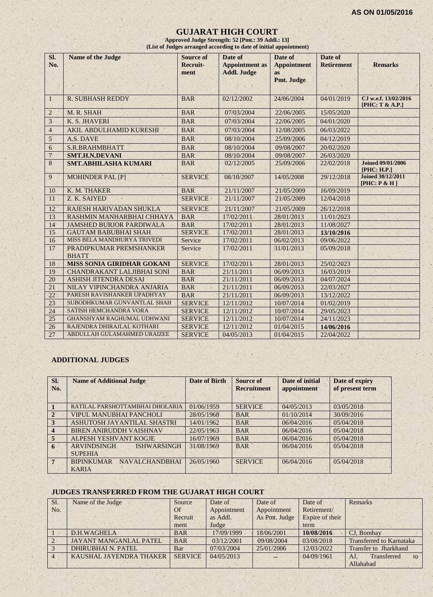#### **GUJARAT HIGH COURT**

**Approved Judge Strength: 52 [Pmt.: 39 Addl.: 13] (List of Judges arranged according to date of initial appointment)**

| SI.<br>No.      | <b>Name of the Judge</b>                | Source of<br>Recruit- | Date of<br><b>Appointment</b> as | Date of<br><b>Appointment</b> | Date of<br><b>Retirement</b> | <b>Remarks</b>                           |
|-----------------|-----------------------------------------|-----------------------|----------------------------------|-------------------------------|------------------------------|------------------------------------------|
|                 |                                         | ment                  | <b>Addl. Judge</b>               | <b>as</b>                     |                              |                                          |
|                 |                                         |                       |                                  | Pmt. Judge                    |                              |                                          |
|                 |                                         |                       |                                  |                               |                              |                                          |
| 1               | <b>R. SUBHASH REDDY</b>                 | <b>BAR</b>            | 02/12/2002                       | 24/06/2004                    | 04/01/2019                   | CJ w.e.f. 13/02/2016<br>[PHC: T & A.P.]  |
| $\overline{2}$  | M. R. SHAH                              | <b>BAR</b>            | 07/03/2004                       | 22/06/2005                    | 15/05/2020                   |                                          |
| 3               | K. S. JHAVERI                           | <b>BAR</b>            | 07/03/2004                       | 22/06/2005                    | 04/01/2020                   |                                          |
| $\overline{4}$  | AKIL ABDULHAMID KURESHI                 | <b>BAR</b>            | 07/03/2004                       | 12/08/2005                    | 06/03/2022                   |                                          |
| 5               | A.S. DAVE                               | <b>BAR</b>            | 08/10/2004                       | 25/09/2006                    | 04/12/2019                   |                                          |
| 6               | S.R.BRAHMBHATT                          | <b>BAR</b>            | 08/10/2004                       | 09/08/2007                    | 20/02/2020                   |                                          |
| $\overline{7}$  | <b>SMT.H.N.DEVANI</b>                   | <b>BAR</b>            | 08/10/2004                       | 09/08/2007                    | 26/03/2020                   |                                          |
| 8               | <b>SMT.ABHILASHA KUMARI</b>             | <b>BAR</b>            | 02/12/2005                       | 25/09/2006                    | 22/02/2018                   | <b>Joined 09/01/2006</b><br>[PHC: H.P.]  |
| 9               | <b>MOHINDER PAL [P]</b>                 | <b>SERVICE</b>        | 08/10/2007                       | 14/05/2008                    | 29/12/2018                   | <b>Joined 30/12/2011</b><br>[PHC: P & H] |
| 10              | K. M. THAKER                            | <b>BAR</b>            | 21/11/2007                       | 21/05/2009                    | 16/09/2019                   |                                          |
| 11              | Z. K. SAIYED                            | <b>SERVICE</b>        | 21/11/2007                       | 21/05/2009                    | 12/04/2018                   |                                          |
| 12              | RAJESH HARIVADAN SHUKLA                 | <b>SERVICE</b>        | 21/11/2007                       | 21/05/2009                    | 26/12/2018                   |                                          |
| 13              | RASHMIN MANHARBHAI CHHAYA               | <b>BAR</b>            | 17/02/2011                       | 28/01/2013                    | 11/01/2023                   |                                          |
| 14              | <b>JAMSHED BURJOR PARDIWALA</b>         | <b>BAR</b>            | 17/02/2011                       | 28/01/2013                    | 11/08/2027                   |                                          |
| 15              | <b>GAUTAM BABUBHAI SHAH</b>             | <b>SERVICE</b>        | 17/02/2011                       | 28/01/2013                    | 13/10/2016                   |                                          |
| 16              | MISS BELA MANDHURYA TRIVEDI             | Service               | 17/02/2011                       | 06/02/2013                    | 09/06/2022                   |                                          |
| 17              | PRADIPKUMAR PREMSHANKER<br><b>BHATT</b> | Service               | 17/02/2011                       | 31/01/2013                    | 05/09/2018                   |                                          |
| 18              | <b>MISS SONIA GIRIDHAR GOKANI</b>       | <b>SERVICE</b>        | 17/02/2011                       | 28/01/2013                    | 25/02/2023                   |                                          |
| 19              | <b>CHANDRAKANT LALJIBHAI SONI</b>       | <b>BAR</b>            | 21/11/2011                       | 06/09/2013                    | 16/03/2019                   |                                          |
| 20              | <b>ASHISH JITENDRA DESAI</b>            | <b>BAR</b>            | 21/11/2011                       | 06/09/2013                    | 04/07/2024                   |                                          |
| 21              | NILAY VIPINCHANDRA ANJARIA              | <b>BAR</b>            | 21/11/2011                       | 06/09/2013                    | 22/03/2027                   |                                          |
| 22              | PARESH RAVISHANKER UPADHYAY             | <b>BAR</b>            | 21/11/2011                       | 06/09/2013                    | 13/12/2022                   |                                          |
| 23              | SUBODHKUMAR GUNVANTLAL SHAH             | <b>SERVICE</b>        | 12/11/2012                       | 10/07/2014                    | 01/02/2019                   |                                          |
| 24              | SATISH HEMCHANDRA VORA                  | <b>SERVICE</b>        | 12/11/2012                       | 10/07/2014                    | 29/05/2023                   |                                          |
| $\overline{25}$ | <b>GHANSHYAM RAGHUMAL UDHWANI</b>       | <b>SERVICE</b>        | 12/11/2012                       | 10/07/2014                    | 24/11/2023                   |                                          |
| 26              | RAJENDRA DHIRAJLAL KOTHARI              | <b>SERVICE</b>        | 12/11/2012                       | 01/04/2015                    | 14/06/2016                   |                                          |
| 27              | ABDULLAH GULAMAHMED URAIZEE             | <b>SERVICE</b>        | 04/05/2013                       | 01/04/2015                    | 22/04/2022                   |                                          |

# **ADDITIONAL JUDGES**

| Sl.<br>No.              | <b>Name of Additional Judge</b>                            | <b>Date of Birth</b> | <b>Source of</b><br><b>Recruitment</b> | Date of initial<br>appointment | Date of expiry<br>of present term |
|-------------------------|------------------------------------------------------------|----------------------|----------------------------------------|--------------------------------|-----------------------------------|
|                         | RATILAL PARSHOTTAMBHAI DHOLARIA                            | 01/06/1959           | <b>SERVICE</b>                         | 04/05/2013                     | 03/05/2018                        |
| $\overline{2}$          | <b>VIPUL MANUBHAI PANCHOLI</b>                             | 28/05/1968           | <b>BAR</b>                             | 01/10/2014                     | 30/09/2016                        |
| 3                       | ASHUTOSH JAYANTILAL SHASTRI                                | 14/01/1962           | <b>BAR</b>                             | 06/04/2016                     | 05/04/2018                        |
| $\overline{\mathbf{4}}$ | <b>BIREN ANIRUDDH VAISHNAV</b>                             | 22/05/1963           | <b>BAR</b>                             | 06/04/2016                     | 05/04/2018                        |
| 5                       | ALPESH YESHVANT KOGJE                                      | 16/07/1969           | <b>BAR</b>                             | 06/04/2016                     | 05/04/2018                        |
| 6                       | <b>ARVINDSINGH</b><br><b>ISHWARSINGH</b><br><b>SUPEHIA</b> | 31/08/1969           | <b>BAR</b>                             | 06/04/2016                     | 05/04/2018                        |
| $7\phantom{.0}$         | <b>NAVALCHANDBHAI</b><br><b>BIPINKUMAR</b><br><b>KARIA</b> | 26/05/1960           | <b>SERVICE</b>                         | 06/04/2016                     | 05/04/2018                        |

# **JUDGES TRANSFERRED FROM THE GUJARAT HIGH COURT**

| Sl.            | Name of the Judge             | Source         | Date of     | Date of       | Date of         | <b>Remarks</b>                  |
|----------------|-------------------------------|----------------|-------------|---------------|-----------------|---------------------------------|
| No.            |                               | Of             | Appointment | Appointment   | Retirement/     |                                 |
|                |                               | Recruit        | as Addl.    | As Pmt. Judge | Expire of their |                                 |
|                |                               | ment           | Judge       |               | term            |                                 |
|                | D.H.WAGHELA                   | <b>BAR</b>     | 17/09/1999  | 18/06/2001    | 10/08/2016      | CJ. Bombay                      |
| $\overline{2}$ | <b>JAYANT MANGANLAL PATEL</b> | <b>BAR</b>     | 03/12/2001  | 09/08/2004    | 03/08/2018      | <b>Transferred to Karnataka</b> |
|                | <b>DHIRUBHAI N. PATEL</b>     | Bar            | 07/03/2004  | 25/01/2006    | 12/03/2022      | Transfer to Jharkhand           |
| $\overline{4}$ | KAUSHAL JAYENDRA THAKER       | <b>SERVICE</b> | 04/05/2013  | $\sim$        | 04/09/1961      | Transferred<br>AJ.<br>to        |
|                |                               |                |             |               |                 | Allahabad                       |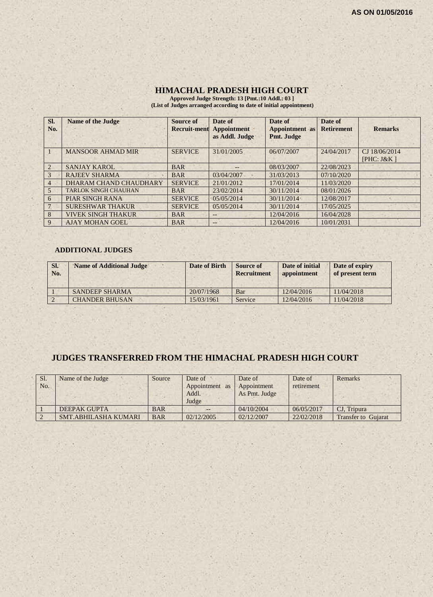#### **HIMACHAL PRADESH HIGH COURT**

**Approved Judge Strength: 13 [Pmt.:10 Addl.: 03 ] (List of Judges arranged according to date of initial appointment)**

| SI.<br>No.     | <b>Name of the Judge</b>    | Source of<br><b>Recruit-ment</b> | Date of<br>Appointment<br>as Addl. Judge | Date of<br><b>Appointment</b> as<br>Pmt. Judge | Date of<br><b>Retirement</b> | <b>Remarks</b>                  |
|----------------|-----------------------------|----------------------------------|------------------------------------------|------------------------------------------------|------------------------------|---------------------------------|
|                | <b>MANSOOR AHMAD MIR</b>    | <b>SERVICE</b>                   | 31/01/2005                               | 06/07/2007                                     | 24/04/2017                   | CJ 18/06/2014<br>[ $PHC: J&K$ ] |
| $\overline{2}$ | <b>SANJAY KAROL</b>         | <b>BAR</b>                       | --                                       | 08/03/2007                                     | 22/08/2023                   |                                 |
| 3              | <b>RAJEEV SHARMA</b>        | <b>BAR</b>                       | 03/04/2007                               | 31/03/2013                                     | 07/10/2020                   |                                 |
| $\overline{4}$ | DHARAM CHAND CHAUDHARY      | <b>SERVICE</b>                   | 21/01/2012                               | 17/01/2014                                     | 11/03/2020                   |                                 |
| 5              | <b>TARLOK SINGH CHAUHAN</b> | <b>BAR</b>                       | 23/02/2014                               | 30/11/2014                                     | 08/01/2026                   |                                 |
| 6              | <b>PIAR SINGH RANA</b>      | <b>SERVICE</b>                   | 05/05/2014                               | 30/11/2014                                     | 12/08/2017                   |                                 |
|                | <b>SURESHWAR THAKUR</b>     | <b>SERVICE</b>                   | 05/05/2014                               | 30/11/2014                                     | 17/05/2025                   |                                 |
| 8              | <b>VIVEK SINGH THAKUR</b>   | <b>BAR</b>                       | $- -$                                    | 12/04/2016                                     | 16/04/2028                   |                                 |
| 9              | <b>AJAY MOHAN GOEL</b>      | <b>BAR</b>                       | $--$                                     | 12/04/2016                                     | 10/01/2031                   |                                 |

#### **ADDITIONAL JUDGES**

| SI.<br>No. | <b>Name of Additional Judge</b> | Date of Birth | Source of<br><b>Recruitment</b> | Date of initial<br>appointment | Date of expiry<br>of present term |
|------------|---------------------------------|---------------|---------------------------------|--------------------------------|-----------------------------------|
|            | <b>SANDEEP SHARMA</b>           | 20/07/1968    | Bar                             | 12/04/2016                     | 11/04/2018                        |
|            | <b>CHANDER BHUSAN</b>           | 15/03/1961    | Service                         | 12/04/2016                     | 11/04/2018                        |

# **JUDGES TRANSFERRED FROM THE HIMACHAL PRADESH HIGH COURT**

| Sl. | Name of the Judge    | Source     | Date of        | Date of       | Date of    | Remarks                    |
|-----|----------------------|------------|----------------|---------------|------------|----------------------------|
| No. |                      |            | Appointment as | Appointment   | retirement |                            |
|     |                      |            | Addl.          | As Pmt. Judge |            |                            |
|     |                      |            | Judge          |               |            |                            |
|     | DEEPAK GUPTA         | <b>BAR</b> |                | 04/10/2004    | 06/05/2017 | CJ. Tripura                |
|     | SMT.ABHILASHA KUMARI | <b>BAR</b> | 02/12/2005     | 02/12/2007    | 22/02/2018 | <b>Transfer to Gujarat</b> |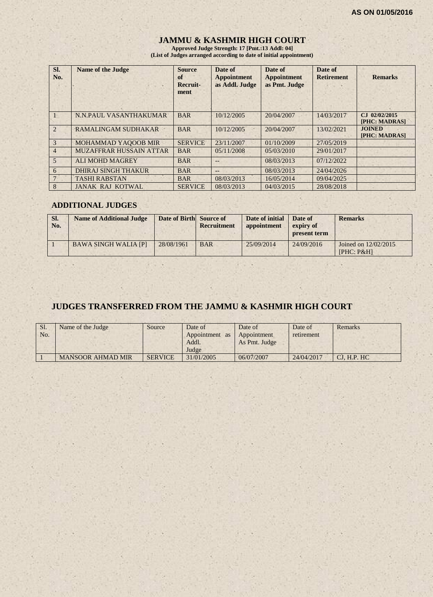# **JAMMU & KASHMIR HIGH COURT**

**Approved Judge Strength: 17 [Pmt.:13 Addl: 04] (List of Judges arranged according to date of initial appointment)**

| SI.<br>No.     | <b>Name of the Judge</b>       | <b>Source</b><br>of<br>Recruit-<br>ment | Date of<br><b>Appointment</b><br>as Addl. Judge | Date of<br><b>Appointment</b><br>as Pmt. Judge | Date of<br><b>Retirement</b> | <b>Remarks</b>                   |
|----------------|--------------------------------|-----------------------------------------|-------------------------------------------------|------------------------------------------------|------------------------------|----------------------------------|
|                | N.N.PAUL VASANTHAKUMAR         | <b>BAR</b>                              | 10/12/2005                                      | 20/04/2007                                     | 14/03/2017                   | $CJ$ 02/02/2015<br>[PHC: MADRAS] |
| $\overline{2}$ | <b>RAMALINGAM SUDHAKAR</b>     | <b>BAR</b>                              | 10/12/2005                                      | 20/04/2007                                     | 13/02/2021                   | <b>JOINED</b><br>[PHC: MADRAS]   |
| 3              | MOHAMMAD YAQOOB MIR            | <b>SERVICE</b>                          | 23/11/2007                                      | 01/10/2009                                     | 27/05/2019                   |                                  |
| $\overline{4}$ | <b>MUZAFFRAR HUSSAIN ATTAR</b> | <b>BAR</b>                              | 05/11/2008                                      | 05/03/2010                                     | 29/01/2017                   |                                  |
| 5              | <b>ALI MOHD MAGREY</b>         | <b>BAR</b>                              | --                                              | 08/03/2013                                     | 07/12/2022                   |                                  |
| 6              | <b>DHIRAJ SINGH THAKUR</b>     | <b>BAR</b>                              | --                                              | 08/03/2013                                     | 24/04/2026                   |                                  |
|                | <b>TASHI RABSTAN</b>           | <b>BAR</b>                              | 08/03/2013                                      | 16/05/2014                                     | 09/04/2025                   |                                  |
| 8              | <b>JANAK RAJ KOTWAL</b>        | <b>SERVICE</b>                          | 08/03/2013                                      | 04/03/2015                                     | 28/08/2018                   |                                  |

#### **ADDITIONAL JUDGES**

| SI.<br>No. | <b>Name of Additional Judge</b> | Date of Birth Source of | Recruitment | Date of initial<br>appointment | Date of<br>expiry of<br>present term | <b>Remarks</b>                     |
|------------|---------------------------------|-------------------------|-------------|--------------------------------|--------------------------------------|------------------------------------|
|            | <b>BAWA SINGH WALIA [P]</b>     | 28/08/1961              | <b>BAR</b>  | 25/09/2014                     | 24/09/2016                           | Joined on 12/02/2015<br>[PHC: P&H] |

# **JUDGES TRANSFERRED FROM THE JAMMU & KASHMIR HIGH COURT**

| Sl.<br>No. | Name of the Judge        | Source         | Date of<br>Appointment as<br>Addl.<br>Judge | Date of<br>Appointment<br>As Pmt. Judge | Date of<br>retirement | Remarks      |
|------------|--------------------------|----------------|---------------------------------------------|-----------------------------------------|-----------------------|--------------|
|            | <b>MANSOOR AHMAD MIR</b> | <b>SERVICE</b> | 31/01/2005                                  | 06/07/2007                              | 24/04/2017            | CI. H.P. H C |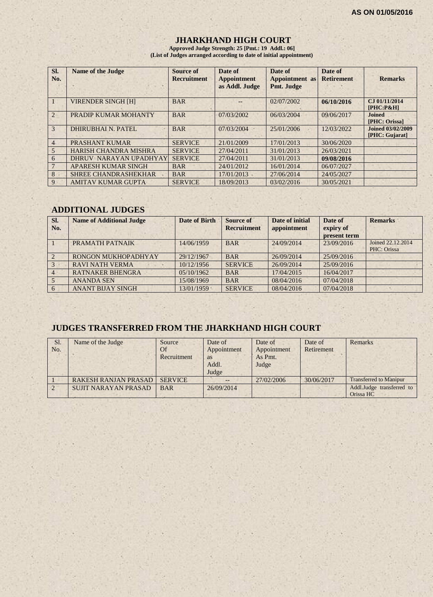#### **JHARKHAND HIGH COURT**

**Approved Judge Strength: 25 [Pmt.: 19 Addl.: 06] (List of Judges arranged according to date of initial appointment)**

| SI.<br>No.     | <b>Name of the Judge</b>     | Source of<br><b>Recruitment</b> | Date of<br><b>Appointment</b><br>as Addl. Judge | Date of<br>Appointment as<br>Pmt. Judge | Date of<br><b>Retirement</b> | <b>Remarks</b>                             |
|----------------|------------------------------|---------------------------------|-------------------------------------------------|-----------------------------------------|------------------------------|--------------------------------------------|
|                | <b>VIRENDER SINGH [H]</b>    | <b>BAR</b>                      |                                                 | 02/07/2002                              | 06/10/2016                   | CJ 01/11/2014<br>$[PHC: P\&H]$             |
| $\overline{2}$ | PRADIP KUMAR MOHANTY         | <b>BAR</b>                      | 07/03/2002                                      | 06/03/2004                              | 09/06/2017                   | <b>Joined</b><br>[PHC: Orissa]             |
| 3              | DHIRUBHAI N. PATEL           | <b>BAR</b>                      | 07/03/2004                                      | 25/01/2006                              | 12/03/2022                   | <b>Joined 03/02/2009</b><br>[PHC: Gujarat] |
| 4              | PRASHANT KUMAR               | <b>SERVICE</b>                  | 21/01/2009                                      | 17/01/2013                              | 30/06/2020                   |                                            |
| 5              | <b>HARISH CHANDRA MISHRA</b> | <b>SERVICE</b>                  | 27/04/2011                                      | 31/01/2013                              | 26/03/2021                   |                                            |
| 6              | DHRUV NARAYAN UPADHYAY       | <b>SERVICE</b>                  | 27/04/2011                                      | 31/01/2013                              | 09/08/2016                   |                                            |
|                | APARESH KUMAR SINGH          | <b>BAR</b>                      | 24/01/2012                                      | 16/01/2014                              | 06/07/2027                   |                                            |
| 8              | <b>SHREE CHANDRASHEKHAR</b>  | <b>BAR</b>                      | 17/01/2013                                      | 27/06/2014                              | 24/05/2027                   |                                            |
| 9              | <b>AMITAV KUMAR GUPTA</b>    | <b>SERVICE</b>                  | 18/09/2013                                      | 03/02/2016                              | 30/05/2021                   |                                            |

#### **ADDITIONAL JUDGES**

| SI.<br>No.     | <b>Name of Additional Judge</b> | <b>Date of Birth</b> | Source of<br><b>Recruitment</b> | Date of initial<br>appointment | Date of<br>expiry of<br>present term | <b>Remarks</b>                   |
|----------------|---------------------------------|----------------------|---------------------------------|--------------------------------|--------------------------------------|----------------------------------|
|                | PRAMATH PATNAIK                 | 14/06/1959           | <b>BAR</b>                      | 24/09/2014                     | 23/09/2016                           | Joined 22.12.2014<br>PHC: Orissa |
| 2              | RONGON MUKHOPADHYAY             | 29/12/1967           | <b>BAR</b>                      | 26/09/2014                     | 25/09/2016                           |                                  |
| 3              | <b>RAVI NATH VERMA</b>          | 10/12/1956           | <b>SERVICE</b>                  | 26/09/2014                     | 25/09/2016                           |                                  |
| $\overline{4}$ | <b>RATNAKER BHENGRA</b>         | 05/10/1962           | <b>BAR</b>                      | 17/04/2015                     | 16/04/2017                           |                                  |
|                | <b>ANANDA SEN</b>               | 15/08/1969           | <b>BAR</b>                      | 08/04/2016                     | 07/04/2018                           |                                  |
| 6              | <b>ANANT BIJAY SINGH</b>        | 13/01/1959           | <b>SERVICE</b>                  | 08/04/2016                     | 07/04/2018                           |                                  |

# **JUDGES TRANSFERRED FROM THE JHARKHAND HIGH COURT**

| Sl.<br>No. | Name of the Judge           | Source<br>Of<br>Recruitment | Date of<br>Appointment<br><b>as</b><br>Addl.<br>Judge | Date of<br>Appointment<br>As Pmt.<br>Judge | Date of<br>Retirement | Remarks                                |
|------------|-----------------------------|-----------------------------|-------------------------------------------------------|--------------------------------------------|-----------------------|----------------------------------------|
|            | <b>RAKESH RANJAN PRASAD</b> | <b>SERVICE</b>              | $- -$                                                 | 27/02/2006                                 | 30/06/2017            | <b>Transferred to Manipur</b>          |
| $\sqrt{2}$ | <b>SUJIT NARAYAN PRASAD</b> | <b>BAR</b>                  | 26/09/2014                                            |                                            |                       | Addl.Judge transferred to<br>Orissa HC |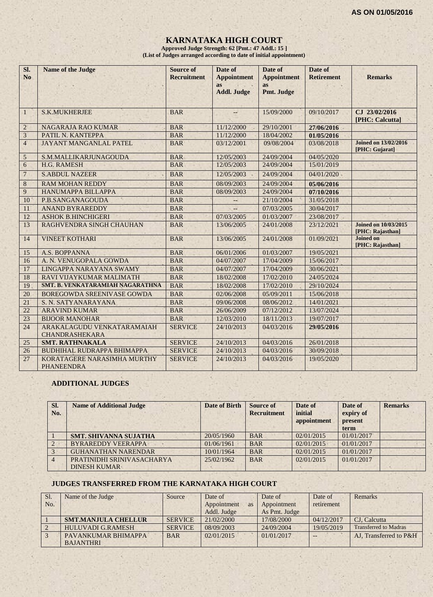# **KARNATAKA HIGH COURT**

**Approved Judge Strength: 62 [Pmt.: 47 Addl.: 15 ] (List of Judges arranged according to date of initial appointment)**

| SI.<br>N <sub>o</sub> | <b>Name of the Judge</b>                            | <b>Source of</b><br><b>Recruitment</b> | Date of<br><b>Appointment</b><br>as<br><b>Addl. Judge</b> | Date of<br><b>Appointment</b><br>as<br>Pmt. Judge | Date of<br><b>Retirement</b> | <b>Remarks</b>                                  |
|-----------------------|-----------------------------------------------------|----------------------------------------|-----------------------------------------------------------|---------------------------------------------------|------------------------------|-------------------------------------------------|
| $\mathbf{1}$          | <b>S.K.MUKHERJEE</b>                                | <b>BAR</b>                             |                                                           | 15/09/2000                                        | 09/10/2017                   | CJ 23/02/2016<br>[PHC: Calcutta]                |
| $\overline{2}$        | NAGARAJA RAO KUMAR                                  | <b>BAR</b>                             | 11/12/2000                                                | 29/10/2001                                        | 27/06/2016                   |                                                 |
| 3                     | PATIL N. KANTEPPA                                   | <b>BAR</b>                             | 11/12/2000                                                | 18/04/2002                                        | 01/05/2016                   |                                                 |
| $\overline{4}$        | <b>JAYANT MANGANLAL PATEL</b>                       | <b>BAR</b>                             | 03/12/2001                                                | 09/08/2004                                        | 03/08/2018                   | <b>Joined on 13/02/2016</b><br>[PHC: Gujarat]   |
| $\mathfrak{S}$        | S.M.MALLIKARJUNAGOUDA                               | <b>BAR</b>                             | 12/05/2003                                                | 24/09/2004                                        | 04/05/2020                   |                                                 |
| 6                     | H.G. RAMESH                                         | <b>BAR</b>                             | 12/05/2003                                                | 24/09/2004                                        | 15/01/2019                   |                                                 |
| $\overline{7}$        | <b>S.ABDUL NAZEER</b>                               | <b>BAR</b>                             | 12/05/2003                                                | 24/09/2004                                        | 04/01/2020                   |                                                 |
| 8                     | <b>RAM MOHAN REDDY</b>                              | <b>BAR</b>                             | 08/09/2003                                                | 24/09/2004                                        | 05/06/2016                   |                                                 |
| 9                     | HANUMAPPA BILLAPPA                                  | <b>BAR</b>                             | 08/09/2003                                                | 24/09/2004                                        | 07/10/2016                   |                                                 |
| 10                    | P.B.SANGANAGOUDA                                    | <b>BAR</b>                             | $--$                                                      | 21/10/2004                                        | 31/05/2018                   |                                                 |
| 11                    | <b>ANAND BYRAREDDY</b>                              | <b>BAR</b>                             |                                                           | 07/03/2005                                        | 30/04/2017                   |                                                 |
| 12                    | <b>ASHOK B.HINCHIGERI</b>                           | <b>BAR</b>                             | 07/03/2005                                                | 01/03/2007                                        | 23/08/2017                   |                                                 |
| 13                    | RAGHVENDRA SINGH CHAUHAN                            | <b>BAR</b>                             | 13/06/2005                                                | 24/01/2008                                        | 23/12/2021                   | <b>Joined on 10/03/2015</b><br>[PHC: Rajasthan] |
| 14                    | <b>VINEET KOTHARI</b>                               | <b>BAR</b>                             | 13/06/2005                                                | 24/01/2008                                        | 01/09/2021                   | <b>Joined on</b><br>[PHC: Rajasthan]            |
| 15                    | A.S. BOPPANNA                                       | <b>BAR</b>                             | 06/01/2006                                                | 01/03/2007                                        | 19/05/2021                   |                                                 |
| 16                    | A. N. VENUGOPALA GOWDA                              | <b>BAR</b>                             | 04/07/2007                                                | 17/04/2009                                        | 15/06/2017                   |                                                 |
| 17                    | LINGAPPA NARAYANA SWAMY                             | <b>BAR</b>                             | 04/07/2007                                                | 17/04/2009                                        | 30/06/2021                   |                                                 |
| 18                    | RAVI VIJAYKUMAR MALIMATH                            | <b>BAR</b>                             | 18/02/2008                                                | 17/02/2010                                        | 24/05/2024                   |                                                 |
| 19                    | SMT. B. VENKATARAMIAH NAGARATHNA                    | <b>BAR</b>                             | 18/02/2008                                                | 17/02/2010                                        | 29/10/2024                   |                                                 |
| 20                    | BOREGOWDA SREENIVASE GOWDA                          | <b>BAR</b>                             | 02/06/2008                                                | 05/09/2011                                        | 15/06/2018                   |                                                 |
| 21                    | S. N. SATYANARAYANA                                 | <b>BAR</b>                             | 09/06/2008                                                | 08/06/2012                                        | 14/01/2021                   |                                                 |
| 22                    | <b>ARAVIND KUMAR</b>                                | <b>BAR</b>                             | 26/06/2009                                                | 07/12/2012                                        | 13/07/2024                   |                                                 |
| 23                    | <b>BIJOOR MANOHAR</b>                               | <b>BAR</b>                             | 12/03/2010                                                | 18/11/2013                                        | 19/07/2017                   |                                                 |
| 24                    | ARAKALAGUDU VENKATARAMAIAH<br><b>CHANDRASHEKARA</b> | <b>SERVICE</b>                         | 24/10/2013                                                | 04/03/2016                                        | 29/05/2016                   |                                                 |
| 25                    | <b>SMT. RATHNAKALA</b>                              | <b>SERVICE</b>                         | 24/10/2013                                                | 04/03/2016                                        | 26/01/2018                   |                                                 |
| 26                    | <b>BUDHIHAL RUDRAPPA BHIMAPPA</b>                   | <b>SERVICE</b>                         | 24/10/2013                                                | 04/03/2016                                        | 30/09/2018                   |                                                 |
| 27                    | KORATAGERE NARASIMHA MURTHY<br><b>PHANEENDRA</b>    | <b>SERVICE</b>                         | 24/10/2013                                                | 04/03/2016                                        | 19/05/2020                   |                                                 |

#### **ADDITIONAL JUDGES**

| SI.<br>No.     | <b>Name of Additional Judge</b> | <b>Date of Birth</b> | Source of<br><b>Recruitment</b> | Date of<br>initial<br>appointment | Date of<br>expiry of<br>present<br>term | <b>Remarks</b> |
|----------------|---------------------------------|----------------------|---------------------------------|-----------------------------------|-----------------------------------------|----------------|
|                | <b>SMT. SHIVANNA SUJATHA</b>    | 20/05/1960           | <b>BAR</b>                      | 02/01/2015                        | 01/01/2017                              |                |
|                | <b>BYRAREDDY VEERAPPA</b>       | 01/06/1961           | <b>BAR</b>                      | 02/01/2015                        | 01/01/2017                              |                |
|                | <b>GUHANATHAN NARENDAR</b>      | 10/01/1964           | <b>BAR</b>                      | 02/01/2015                        | 01/01/2017                              |                |
| $\overline{4}$ | PRATINIDHI SRINIVASACHARYA      | 25/02/1962           | <b>BAR</b>                      | 02/01/2015                        | 01/01/2017                              |                |
|                | <b>DINESH KUMAR</b>             |                      |                                 |                                   |                                         |                |

#### **JUDGES TRANSFERRED FROM THE KARNATAKA HIGH COURT**

| Sl. | Name of the Judge          | Source         | Date of                  | Date of       | Date of    | Remarks                      |
|-----|----------------------------|----------------|--------------------------|---------------|------------|------------------------------|
| No. |                            |                | Appointment<br><b>as</b> | Appointment   | retirement |                              |
|     |                            |                | Addl. Judge              | As Pmt. Judge |            |                              |
|     | <b>SMT.MANJULA CHELLUR</b> | <b>SERVICE</b> | 21/02/2000               | 17/08/2000    | 04/12/2017 | CJ. Calcutta                 |
|     | <b>HULUVADI G.RAMESH</b>   | <b>SERVICE</b> | 08/09/2003               | 24/09/2004    | 19/05/2019 | <b>Transferred to Madras</b> |
|     | PAVANKUMAR BHIMAPPA        | <b>BAR</b>     | 02/01/2015               | 01/01/2017    |            | AJ. Transferred to P&H       |
|     | <b>BAJANTHRI</b>           |                |                          |               |            |                              |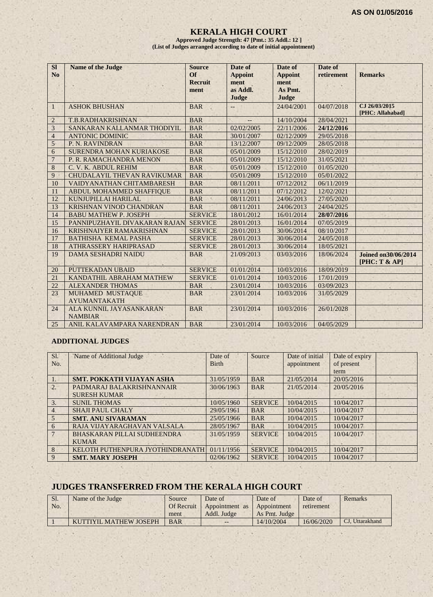#### **KERALA HIGH COURT**

**Approved Judge Strength: 47 [Pmt.: 35 Addl.: 12 ] (List of Judges arranged according to date of initial appointment)**

| <b>SI</b><br>No | <b>Name of the Judge</b>                  | <b>Source</b><br>$\Omega$<br><b>Recruit</b><br>ment | Date of<br><b>Appoint</b><br>ment<br>as Addl.<br>Judge | Date of<br><b>Appoint</b><br>ment<br>As Pmt.<br><b>Judge</b> | Date of<br>retirement | <b>Remarks</b>                             |
|-----------------|-------------------------------------------|-----------------------------------------------------|--------------------------------------------------------|--------------------------------------------------------------|-----------------------|--------------------------------------------|
| 1               | <b>ASHOK BHUSHAN</b>                      | <b>BAR</b>                                          |                                                        | 24/04/2001                                                   | 04/07/2018            | CJ 26/03/2015<br>[PHC: Allahabad]          |
| $\overline{2}$  | T.B.RADHAKRISHNAN                         | <b>BAR</b>                                          |                                                        | 14/10/2004                                                   | 28/04/2021            |                                            |
| 3               | SANKARAN KALLANMAR THODIYIL               | <b>BAR</b>                                          | 02/02/2005                                             | 22/11/2006                                                   | 24/12/2016            |                                            |
| $\overline{4}$  | <b>ANTONIC DOMINIC</b>                    | <b>BAR</b>                                          | 30/01/2007                                             | 02/12/2009                                                   | 29/05/2018            |                                            |
| $\overline{5}$  | P. N. RAVINDRAN                           | <b>BAR</b>                                          | 13/12/2007                                             | 09/12/2009                                                   | 28/05/2018            |                                            |
| 6               | SURENDRA MOHAN KURIAKOSE                  | <b>BAR</b>                                          | 05/01/2009                                             | 15/12/2010                                                   | 28/02/2019            |                                            |
| $\overline{7}$  | P. R. RAMACHANDRA MENON                   | <b>BAR</b>                                          | 05/01/2009                                             | 15/12/2010                                                   | 31/05/2021            |                                            |
| 8               | C. V. K. ABDUL REHIM                      | <b>BAR</b>                                          | 05/01/2009                                             | 15/12/2010                                                   | 01/05/2020            |                                            |
| 9               | <b>CHUDALAYIL THEVAN RAVIKUMAR</b>        | <b>BAR</b>                                          | 05/01/2009                                             | 15/12/2010                                                   | 05/01/2022            |                                            |
| 10              | <b>VAIDYANATHAN CHITAMBARESH</b>          | <b>BAR</b>                                          | 08/11/2011                                             | 07/12/2012                                                   | 06/11/2019            |                                            |
| 11              | ABDUL MOHAMMED SHAFFIQUE                  | <b>BAR</b>                                          | 08/11/2011                                             | 07/12/2012                                                   | 12/02/2021            |                                            |
| 12              | KUNJUPILLAI HARILAL                       | <b>BAR</b>                                          | 08/11/2011                                             | 24/06/2013                                                   | 27/05/2020            |                                            |
| 13              | <b>KRISHNAN VINOD CHANDRAN</b>            | <b>BAR</b>                                          | 08/11/2011                                             | 24/06/2013                                                   | 24/04/2025            |                                            |
| 14              | <b>BABU MATHEW P. JOSEPH</b>              | <b>SERVICE</b>                                      | 18/01/2012                                             | 16/01/2014                                                   | 28/07/2016            |                                            |
| 15              | PANNIPUZHAYIL DIVAKARAN RAJAN             | <b>SERVICE</b>                                      | 28/01/2013                                             | 16/01/2014                                                   | 07/05/2019            |                                            |
| 16              | <b>KRISHNAIYER RAMAKRISHNAN</b>           | <b>SERVICE</b>                                      | 28/01/2013                                             | 30/06/2014                                                   | 08/10/2017            |                                            |
| 17              | <b>BATHISHA KEMAL PASHA</b>               | <b>SERVICE</b>                                      | 28/01/2013                                             | 30/06/2014                                                   | 24/05/2018            |                                            |
| 18              | ATHRASSERY HARIPRASAD                     | <b>SERVICE</b>                                      | 28/01/2013                                             | 30/06/2014                                                   | 18/05/2021            |                                            |
| 19              | <b>DAMA SESHADRI NAIDU</b>                | <b>BAR</b>                                          | 21/09/2013                                             | 03/03/2016                                                   | 18/06/2024            | <b>Joined on 30/06/2014</b><br>[PHC: T & A |
| 20              | <b>PUTTEKADAN UBAID</b>                   | <b>SERVICE</b>                                      | 01/01/2014                                             | 10/03/2016                                                   | 18/09/2019            |                                            |
| 21              | KANDATHIL ABRAHAM MATHEW                  | <b>SERVICE</b>                                      | 01/01/2014                                             | 10/03/2016                                                   | 17/01/2019            |                                            |
| 22              | <b>ALEXANDER THOMAS</b>                   | <b>BAR</b>                                          | 23/01/2014                                             | 10/03/2016                                                   | 03/09/2023            |                                            |
| 23              | MUHAMED MUSTAQUE<br><b>AYUMANTAKATH</b>   | <b>BAR</b>                                          | 23/01/2014                                             | 10/03/2016                                                   | 31/05/2029            |                                            |
| 24              | ALA KUNNIL JAYASANKARAN<br><b>NAMBIAR</b> | <b>BAR</b>                                          | 23/01/2014                                             | 10/03/2016                                                   | 26/01/2028            |                                            |
| 25              | ANIL KALAVAMPARA NARENDRAN                | <b>BAR</b>                                          | 23/01/2014                                             | 10/03/2016                                                   | 04/05/2029            |                                            |

#### **ADDITIONAL JUDGES**

| SI.       | Name of Additional Judge         | Date of      | Source         | Date of initial | Date of expiry |  |
|-----------|----------------------------------|--------------|----------------|-----------------|----------------|--|
| No.       |                                  | <b>Birth</b> |                | appointment     | of present     |  |
|           |                                  |              |                |                 | term           |  |
| $\perp$ . | <b>SMT. POKKATH VIJAYAN ASHA</b> | 31/05/1959   | <b>BAR</b>     | 21/05/2014      | 20/05/2016     |  |
| 2.        | PADMARAJ BALAKRISHNANNAIR        | 30/06/1963   | <b>BAR</b>     | 21/05/2014      | 20/05/2016     |  |
|           | <b>SURESH KUMAR</b>              |              |                |                 |                |  |
| 3.        | <b>SUNIL THOMAS</b>              | 10/05/1960   | <b>SERVICE</b> | 10/04/2015      | 10/04/2017     |  |
| 4         | <b>SHAJI PAUL CHALY</b>          | 29/05/1961   | <b>BAR</b>     | 10/04/2015      | 10/04/2017     |  |
| 5         | <b>SMT. ANU SIVARAMAN</b>        | 25/05/1966   | <b>BAR</b>     | 10/04/2015      | 10/04/2017     |  |
| 6         | RAJA VIJAYARAGHAVAN VALSALA      | 28/05/1967   | <b>BAR</b>     | 10/04/2015      | 10/04/2017     |  |
|           | BHASKARAN PILLAI SUDHEENDRA      | 31/05/1959   | <b>SERVICE</b> | 10/04/2015      | 10/04/2017     |  |
|           | <b>KUMAR</b>                     |              |                |                 |                |  |
| 8         | KELOTH PUTHENPURA JYOTHINDRANATH | 01/11/1956   | <b>SERVICE</b> | 10/04/2015      | 10/04/2017     |  |
| 9         | <b>SMT. MARY JOSEPH</b>          | 02/06/1962   | <b>SERVICE</b> | 10/04/2015      | 10/04/2017     |  |

# **JUDGES TRANSFERRED FROM THE KERALA HIGH COURT**

| Sl. | Name of the Judge             | Source     | Date of        | Date of       | Date of    | Remarks         |
|-----|-------------------------------|------------|----------------|---------------|------------|-----------------|
| No. |                               | Of Recruit | Appointment as | Appointment   | retirement |                 |
|     |                               | ment       | Addl. Judge    | As Pmt. Judge |            |                 |
|     | <b>KUTTIYIL MATHEW JOSEPH</b> | <b>BAR</b> | $- -$          | 14/10/2004    | 16/06/2020 | CJ, Uttarakhand |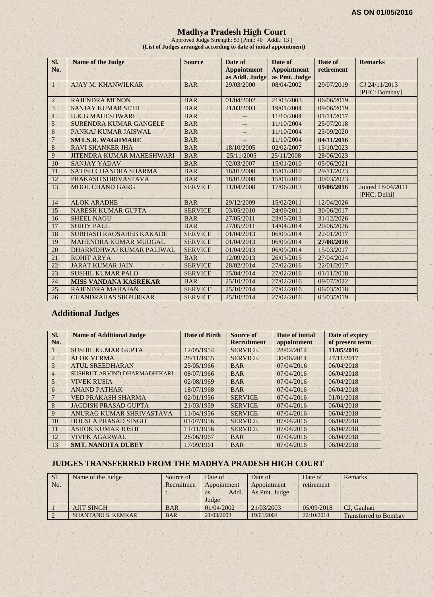#### **Madhya Pradesh High Court**

Approved Judge Strength: 53 [Pmt.: 40 Addl.: 13 ] **(List of Judges arranged according to date of initial appointment)**

| SI.<br>No.     | Name of the Judge                | <b>Source</b>  | Date of<br><b>Appointment</b><br>as Addl. Judge | Date of<br><b>Appointment</b><br>as Pmt. Judge | Date of<br>retirement | <b>Remarks</b>                    |
|----------------|----------------------------------|----------------|-------------------------------------------------|------------------------------------------------|-----------------------|-----------------------------------|
| $\overline{1}$ | <b>AJAY M. KHANWILKAR</b>        | <b>BAR</b>     | 29/03/2000                                      | 08/04/2002                                     | 29/07/2019            | CJ 24/11/2013                     |
|                |                                  |                |                                                 |                                                |                       | [PHC: Bombay]                     |
| $\overline{2}$ | <b>RAJENDRA MENON</b>            | <b>BAR</b>     | 01/04/2002                                      | 21/03/2003                                     | 06/06/2019            |                                   |
| 3              | <b>SANJAY KUMAR SETH</b>         | <b>BAR</b>     | 21/03/2003                                      | 19/01/2004                                     | 09/06/2019            |                                   |
| $\overline{4}$ | <b>U.K.G.MAHESHWARI</b>          | <b>BAR</b>     |                                                 | 11/10/2004                                     | 01/11/2017            |                                   |
| 5              | SURENDRA KUMAR GANGELE           | <b>BAR</b>     |                                                 | 11/10/2004                                     | 25/07/2018            |                                   |
| 6              | PANKAJ KUMAR JAISWAL             | <b>BAR</b>     |                                                 | 11/10/2004                                     | 23/09/2020            |                                   |
| $\overline{7}$ | <b>SMT.S.R. WAGHMARE</b>         | <b>BAR</b>     |                                                 | 11/10/2004                                     | 04/11/2016            |                                   |
| 8              | <b>RAVI SHANKER JHA</b>          | <b>BAR</b>     | 18/10/2005                                      | 02/02/2007                                     | 13/10/2023            |                                   |
| 9              | <b>JITENDRA KUMAR MAHESHWARI</b> | <b>BAR</b>     | 25/11/2005                                      | 25/11/2008                                     | 28/06/2023            |                                   |
| 10             | <b>SANJAY YADAV</b>              | <b>BAR</b>     | 02/03/2007                                      | 15/01/2010                                     | 05/06/2021            |                                   |
| 11             | <b>SATISH CHANDRA SHARMA</b>     | <b>BAR</b>     | 18/01/2008                                      | 15/01/2010                                     | 29/11/2023            |                                   |
| 12             | PRAKASH SHRIVASTAVA              | <b>BAR</b>     | 18/01/2008                                      | 15/01/2010                                     | 30/03/2023            |                                   |
| 13             | <b>MOOL CHAND GARG</b>           | <b>SERVICE</b> | 11/04/2008                                      | 17/06/2013                                     | 09/06/2016            | Joined 18/04/2011<br>[PHC: Delhi] |
| 14             | <b>ALOK ARADHE</b>               | <b>BAR</b>     | 29/12/2009                                      | 15/02/2011                                     | 12/04/2026            |                                   |
| 15             | <b>NARESH KUMAR GUPTA</b>        | <b>SERVICE</b> | 03/05/2010                                      | 24/09/2011                                     | 30/06/2017            |                                   |
| 16             | <b>SHEEL NAGU</b>                | <b>BAR</b>     | 27/05/2011                                      | 23/05/2013                                     | 31/12/2026            |                                   |
| 17             | <b>SUJOY PAUL</b>                | <b>BAR</b>     | 27/05/2011                                      | 14/04/2014                                     | 20/06/2026            |                                   |
| 18             | <b>SUBHASH RAOSAHEB KAKADE</b>   | <b>SERVICE</b> | 01/04/2013                                      | 06/09/2014                                     | 22/01/2017            |                                   |
| 19             | <b>MAHENDRA KUMAR MUDGAL</b>     | <b>SERVICE</b> | 01/04/2013                                      | 06/09/2014                                     | 27/08/2016            |                                   |
| 20             | DHARMDHWAJ KUMAR PALIWAL         | <b>SERVICE</b> | 01/04/2013                                      | 06/09/2014                                     | 15/03/2017            |                                   |
| 21             | <b>ROHIT ARYA</b>                | <b>BAR</b>     | 12/09/2013                                      | 26/03/2015                                     | 27/04/2024            |                                   |
| 22             | <b>JARAT KUMAR JAIN</b>          | <b>SERVICE</b> | 28/02/2014                                      | 27/02/2016                                     | 22/01/2017            |                                   |
| 23             | <b>SUSHIL KUMAR PALO</b>         | <b>SERVICE</b> | 15/04/2014                                      | 27/02/2016                                     | 01/11/2018            |                                   |
| 24             | <b>MISS VANDANA KASREKAR</b>     | <b>BAR</b>     | 25/10/2014                                      | 27/02/2016                                     | 09/07/2022            |                                   |
| 25             | <b>RAJENDRA MAHAJAN</b>          | <b>SERVICE</b> | 25/10/2014                                      | 27/02/2016                                     | 06/03/2018            |                                   |
| 26             | <b>CHANDRAHAS SIRPURKAR</b>      | <b>SERVICE</b> | 25/10/2014                                      | 27/02/2016                                     | 03/03/2019            |                                   |

# **Additional Judges**

| SI.          | <b>Name of Additional Judge</b> | Date of Birth | Source of          | Date of initial | Date of expiry  |
|--------------|---------------------------------|---------------|--------------------|-----------------|-----------------|
| No.          |                                 |               | <b>Recruitment</b> | appointment     | of present term |
|              | <b>SUSHIL KUMAR GUPTA</b>       | 12/05/1954    | <b>SERVICE</b>     | 28/02/2014      | 11/05/2016      |
| 2            | <b>ALOK VERMA</b>               | 28/11/1955    | <b>SERVICE</b>     | 30/06/2014      | 27/11/2017      |
| 3            | <b>ATUL SREEDHARAN</b>          | 25/05/1966    | <b>BAR</b>         | 07/04/2016      | 06/04/2018      |
| 4            | SUSHRUT ARVIND DHARMADHIKARI    | 08/07/1966    | <b>BAR</b>         | 07/04/2016      | 06/04/2018      |
| 5            | <b>VIVEK RUSIA</b>              | 02/08/1969    | <b>BAR</b>         | 07/04/2016      | 06/04/2018      |
| 6            | <b>ANAND PATHAK</b>             | 18/07/1968    | <b>BAR</b>         | 07/04/2016      | 06/04/2018      |
| 7            | <b>VED PRAKASH SHARMA</b>       | 02/01/1956    | <b>SERVICE</b>     | 07/04/2016      | 01/01/2018      |
| 8            | <b>JAGDISH PRASAD GUPTA</b>     | 21/03/1959    | <b>SERVICE</b>     | 07/04/2016      | 06/04/2018      |
| $\mathbf{Q}$ | ANURAG KUMAR SHRIVASTAVA        | 11/04/1956    | <b>SERVICE</b>     | 07/04/2016      | 06/04/2018      |
| 10           | <b>HOUSLA PRASAD SINGH</b>      | 01/07/1956    | <b>SERVICE</b>     | 07/04/2016      | 06/04/2018      |
| 11           | <b>ASHOK KUMAR JOSHI</b>        | 11/11/1956    | <b>SERVICE</b>     | 07/04/2016      | 06/04/2018      |
| 12           | <b>VIVEK AGARWAL</b>            | 28/06/1967    | <b>BAR</b>         | 07/04/2016      | 06/04/2018      |
| 13           | <b>SMT. NANDITA DUBEY</b>       | 17/09/1961    | <b>BAR</b>         | 07/04/2016      | 06/04/2018      |

#### **JUDGES TRANSFERRED FROM THE MADHYA PRADESH HIGH COURT**

| Sl. | Name of the Judge         | Source of  | Date of     | Date of       | Date of    | Remarks                      |
|-----|---------------------------|------------|-------------|---------------|------------|------------------------------|
| No. |                           | Recruitmen | Appointment | Appointment   | retirement |                              |
|     |                           |            | Addl.<br>as | As Pmt. Judge |            |                              |
|     |                           |            | Judge       |               |            |                              |
|     | <b>AJIT SINGH</b>         | <b>BAR</b> | 01/04/2002  | 21/03/2003    | 05/09/2018 | CJ. Gauhati                  |
|     | <b>SHANTANU S. KEMKAR</b> | <b>BAR</b> | 21/03/2003  | 19/01/2004    | 22/10/2018 | <b>Transferred to Bombay</b> |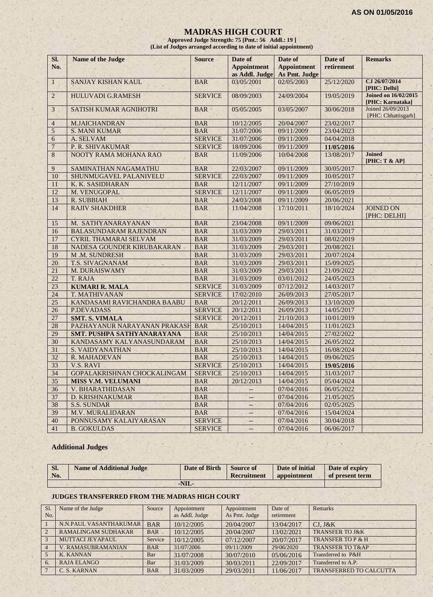#### **MADRAS HIGH COURT**

**Approved Judge Strength: 75 [Pmt.: 56 Addl.: 19 ] (List of Judges arranged according to date of initial appointment)**

| SI.<br>No.      | <b>Name of the Judge</b>          | <b>Source</b>  | Date of<br><b>Appointment</b><br>as Addl. Judge | Date of<br><b>Appointment</b><br>As Pmt. Judge | Date of<br>retirement | <b>Remarks</b>                                  |
|-----------------|-----------------------------------|----------------|-------------------------------------------------|------------------------------------------------|-----------------------|-------------------------------------------------|
| $\mathbf{1}$    | <b>SANJAY KISHAN KAUL</b>         | <b>BAR</b>     | 03/05/2001                                      | 02/05/2003                                     | 25/12/2020            | CJ 26/07/2014<br>[PHC: Delhi]                   |
| $\overline{2}$  | <b>HULUVADI G.RAMESH</b>          | <b>SERVICE</b> | 08/09/2003                                      | 24/09/2004                                     | 19/05/2019            | <b>Joined on 16/02/2015</b><br>[PHC: Karnataka] |
| 3               | SATISH KUMAR AGNIHOTRI            | <b>BAR</b>     | 05/05/2005                                      | 03/05/2007                                     | 30/06/2018            | Joined 26/09/2013<br>[PHC: Chhattisgarh]        |
| $\overline{4}$  | <b>M.JAICHANDRAN</b>              | <b>BAR</b>     | 10/12/2005                                      | 20/04/2007                                     | 23/02/2017            |                                                 |
| 5               | <b>S. MANI KUMAR</b>              | <b>BAR</b>     | 31/07/2006                                      | 09/11/2009                                     | 23/04/2023            |                                                 |
| 6               | A. SELVAM                         | <b>SERVICE</b> | 31/07/2006                                      | 09/11/2009                                     | 04/04/2018            |                                                 |
| $\overline{7}$  | P. R. SHIVAKUMAR                  | <b>SERVICE</b> | 18/09/2006                                      | 09/11/2009                                     | 11/05/2016            |                                                 |
| 8               | NOOTY RAMA MOHANA RAO             | <b>BAR</b>     | 11/09/2006                                      | 10/04/2008                                     | 13/08/2017            | <b>Joined</b><br>[PHC: T & AP]                  |
| 9               | SAMINATHAN NAGAMATHU              | <b>BAR</b>     | 22/03/2007                                      | 09/11/2009                                     | 30/05/2017            |                                                 |
| 10              | SHUNMUGAVEL PALANIVELU            | <b>SERVICE</b> | 22/03/2007                                      | 09/11/2009                                     | 10/05/2017            |                                                 |
| 11              | K. K. SASIDHARAN                  | <b>BAR</b>     | 12/11/2007                                      | 09/11/2009                                     | 27/10/2019            |                                                 |
| 12              | M. VENUGOPAL                      | <b>SERVICE</b> | 12/11/2007                                      | 09/11/2009                                     | 06/05/2019            |                                                 |
| 13              | <b>R. SUBBIAH</b>                 | <b>BAR</b>     | 24/03/2008                                      | 09/11/2009                                     | 20/06/2021            |                                                 |
| 14              | <b>RAJIV SHAKDHER</b>             | <b>BAR</b>     | 11/04/2008                                      | 17/10/2011                                     | 18/10/2024            | <b>JOINED ON</b><br>[PHC: DELHI]                |
| 15              | M. SATHYANARAYANAN                | <b>BAR</b>     | 23/04/2008                                      | 09/11/2009                                     | 09/06/2021            |                                                 |
| 16              | <b>BALASUNDARAM RAJENDRAN</b>     | <b>BAR</b>     | 31/03/2009                                      | 29/03/2011                                     | 31/03/2017            |                                                 |
| 17              | <b>CYRIL THAMARAI SELVAM</b>      | <b>BAR</b>     | 31/03/2009                                      | 29/03/2011                                     | 08/02/2019            |                                                 |
| 18              | NADESA GOUNDER KIRUBAKARAN        | <b>BAR</b>     | 31/03/2009                                      | 29/03/2011                                     | 20/08/2021            |                                                 |
| 19              | M.M. SUNDRESH                     | <b>BAR</b>     | 31/03/2009                                      | 29/03/2011                                     | 20/07/2024            |                                                 |
| 20              | <b>T.S. SIVAGNANAM</b>            | <b>BAR</b>     | 31/03/2009                                      | 29/03/2011                                     | 15/09/2025            |                                                 |
| 21              | M. DURAISWAMY                     | <b>BAR</b>     | 31/03/2009                                      | 29/03/2011                                     | 21/09/2022            |                                                 |
| $\overline{22}$ | T. RAJA                           | <b>BAR</b>     | 31/03/2009                                      | 03/01/2012                                     | 24/05/2023            |                                                 |
| 23              | <b>KUMARI R. MALA</b>             | <b>SERVICE</b> | 31/03/2009                                      | 07/12/2012                                     | 14/03/2017            |                                                 |
| 24              | T. MATHIVANAN                     | <b>SERVICE</b> | 17/02/2010                                      | 26/09/2013                                     | 27/05/2017            |                                                 |
| 25              | KANDASAMI RAVICHANDRA BAABU       | <b>BAR</b>     | 20/12/2011                                      | 26/09/2013                                     | 13/10/2020            |                                                 |
| 26              | <b>P.DEVADASS</b>                 | <b>SERVICE</b> | 20/12/2011                                      | 26/09/2013                                     | 14/05/2017            |                                                 |
| 27              | <b>SMT. S. VIMALA</b>             | <b>SERVICE</b> | 20/12/2011                                      | 21/10/2013                                     | 10/01/2019            |                                                 |
| 28              | PAZHAYANUR NARAYANAN PRAKASH      | <b>BAR</b>     | 25/10/2013                                      | 14/04/2015                                     | 11/01/2023            |                                                 |
| 29              | <b>SMT. PUSHPA SATHYANARAYANA</b> | <b>BAR</b>     | 25/10/2013                                      | 14/04/2015                                     | 27/02/2022            |                                                 |
| 30              | KANDASAMY KALYANASUNDARAM         | <b>BAR</b>     | 25/10/2013                                      | 14/04/2015                                     | 26/05/2022            |                                                 |
| 31              | <b>S. VAIDYANATHAN</b>            | <b>BAR</b>     | 25/10/2013                                      | 14/04/2015                                     | 16/08/2024            |                                                 |
| 32              | R. MAHADEVAN                      | <b>BAR</b>     | 25/10/2013                                      | 14/04/2015                                     | 09/06/2025            |                                                 |
| 33              | <b>V.S. RAVI</b>                  | <b>SERVICE</b> | 25/10/2013                                      | 14/04/2015                                     | 19/05/2016            |                                                 |
| 34              | GOPALAKRISHNAN CHOCKALINGAM       | <b>SERVICE</b> | 25/10/2013                                      | 14/04/2015                                     | 31/03/2017            |                                                 |
| $\overline{35}$ | <b>MISS V.M. VELUMANI</b>         | <b>BAR</b>     | 20/12/2013                                      | 14/04/2015                                     | 05/04/2024            |                                                 |
| 36              | V. BHARATHIDASAN                  | <b>BAR</b>     | $\overline{\phantom{a}}$                        | 07/04/2016                                     | 06/05/2022            |                                                 |
| 37              | D. KRISHNAKUMAR                   | <b>BAR</b>     | -44                                             | 07/04/2016                                     | 21/05/2025            |                                                 |
| 38              | <b>S.S. SUNDAR</b>                | <b>BAR</b>     | $-$                                             | 07/04/2016                                     | 02/05/2025            |                                                 |
| 39              | M.V. MURALIDARAN                  | <b>BAR</b>     | --                                              | 07/04/2016                                     | 15/04/2024            |                                                 |
| 40              | PONNUSAMY KALAIYARASAN            | <b>SERVICE</b> | u.                                              | 07/04/2016                                     | 30/04/2018            |                                                 |
| 41              | <b>B. GOKULDAS</b>                | <b>SERVICE</b> | $-$                                             | 07/04/2016                                     | 06/06/2017            |                                                 |

#### **Additional Judges**

| $\mathbf{S}$ . | <b>Name of Additional Judge</b> | Date of Birth | Source of   | Date of initial | Date of expiry  |
|----------------|---------------------------------|---------------|-------------|-----------------|-----------------|
| No.            |                                 |               | Recruitment | appointment     | of present term |
|                |                                 | $-NIL-$       |             |                 |                 |

#### **JUDGES TRANSFERRED FROM THE MADRAS HIGH COURT**

| S <sub>1</sub><br>No. | Name of the Judge          | Source     | Appointment<br>as Addl. Judge | Appointment<br>As Pmt. Judge | Date of<br>retirement | <b>Remarks</b>                 |
|-----------------------|----------------------------|------------|-------------------------------|------------------------------|-----------------------|--------------------------------|
|                       | N.N.PAUL VASANTHAKUMAR     | <b>BAR</b> | 10/12/2005                    | 20/04/2007                   | 13/04/2017            | $CJ.$ J&K                      |
| $\overline{2}$        | <b>RAMALINGAM SUDHAKAR</b> | <b>BAR</b> | 10/12/2005                    | 20/04/2007                   | 13/02/2021            | <b>TRANSFER TO J&amp;K</b>     |
| 3                     | <b>MUTTACI JEYAPAUL</b>    | Service    | 10/12/2005                    | 07/12/2007                   | 20/07/2017            | <b>TRANSFER TO P &amp; H</b>   |
| $\overline{4}$        | <b>V. RAMASUBRAMANIAN</b>  | <b>BAR</b> | 31/07/2006                    | 09/11/2009                   | 29/06/2020            | <b>TRANSFER TO T&amp;AP</b>    |
| 5 <sup>7</sup>        | <b>K. KANNAN</b>           | Bar        | 31/07/2008                    | 30/07/2010                   | 05/06/2016            | Transferred to P&H             |
| 6.                    | <b>RAJA ELANGO</b>         | Bar        | 31/03/2009                    | 30/03/2011                   | 22/09/2017            | Transferred to A.P.            |
|                       | C. S. KARNAN               | <b>BAR</b> | 31/03/2009                    | 29/03/2011                   | 11/06/2017            | <b>TRANSFERRED TO CALCUTTA</b> |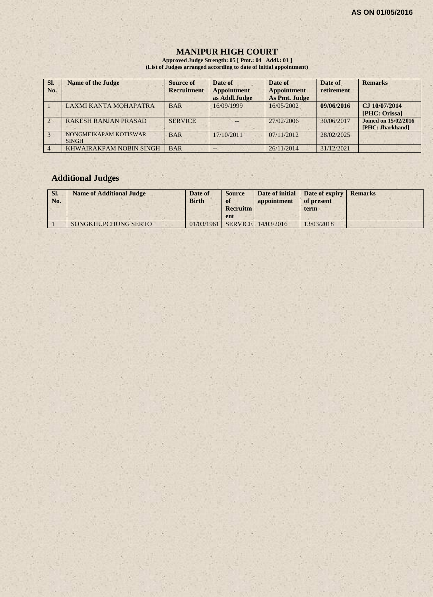$7.78$ 

#### **MANIPUR HIGH COURT**

**Approved Judge Strength: 05 [ Pmt.: 04 Addl.: 01 ] (List of Judges arranged according to date of initial appointment)**

| SI.<br>No.     | <b>Name of the Judge</b>              | Source of<br><b>Recruitment</b> | Date of<br><b>Appointment</b><br>as Addl.Judge | Date of<br><b>Appointment</b><br>As Pmt. Judge | Date of<br>retirement | <b>Remarks</b>                                  |
|----------------|---------------------------------------|---------------------------------|------------------------------------------------|------------------------------------------------|-----------------------|-------------------------------------------------|
|                | LAXMI KANTA MOHAPATRA                 | <b>BAR</b>                      | 16/09/1999                                     | 16/05/2002                                     | 09/06/2016            | CJ 10/07/2014<br>[PHC: Orissa]                  |
| $\overline{2}$ | <b>RAKESH RANJAN PRASAD</b>           | <b>SERVICE</b>                  | $-$                                            | 27/02/2006                                     | 30/06/2017            | <b>Joined on 15/02/2016</b><br>[PHC: Jharkhand] |
|                | NONGMEIKAPAM KOTISWAR<br><b>SINGH</b> | <b>BAR</b>                      | 17/10/2011                                     | 07/11/2012                                     | 28/02/2025            |                                                 |
|                | KHWAIRAKPAM NOBIN SINGH               | <b>BAR</b>                      | $- -$                                          | 26/11/2014                                     | 31/12/2021            |                                                 |

# **Additional Judges**

 $\mathbb{R} \times \mathbb{R}$ 

| Sl.<br>No. | <b>Name of Additional Judge</b> | Date of<br><b>Birth</b> | <b>Source</b><br>of<br><b>Recruitm</b><br>ent | appointment        | Date of initial Date of expiry<br>of present<br>term | <b>Remarks</b> |
|------------|---------------------------------|-------------------------|-----------------------------------------------|--------------------|------------------------------------------------------|----------------|
|            | SONGKHUPCHUNG SERTO             | 01/03/1961              |                                               | SERVICE 14/03/2016 | 13/03/2018                                           |                |

 $1.18$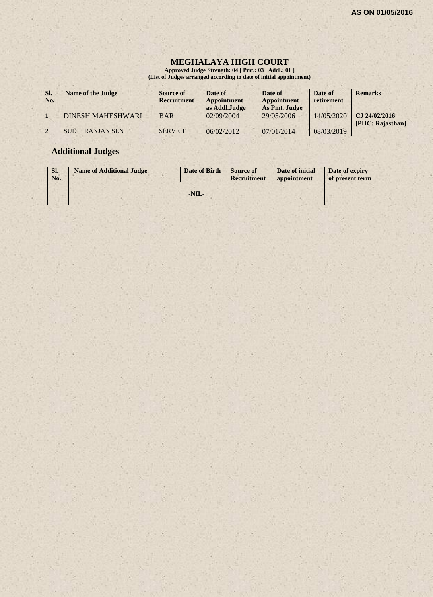# **MEGHALAYA HIGH COURT**

**Approved Judge Strength: 04 [ Pmt.: 03 Addl.: 01 ] (List of Judges arranged according to date of initial appointment)**

| SI.<br>No. | <b>Name of the Judge</b> | Source of<br><b>Recruitment</b> | Date of<br><b>Appointment</b><br>as Addl.Judge | Date of<br><b>Appointment</b><br>As Pmt. Judge | Date of<br>retirement | <b>Remarks</b>                    |
|------------|--------------------------|---------------------------------|------------------------------------------------|------------------------------------------------|-----------------------|-----------------------------------|
|            | <b>DINESH MAHESHWARI</b> | <b>BAR</b>                      | 02/09/2004                                     | 29/05/2006                                     | 14/05/2020            | CJ 24/02/2016<br>[PHC: Rajasthan] |
|            | <b>SUDIP RANJAN SEN</b>  | <b>SERVICE</b>                  | 06/02/2012                                     | 07/01/2014                                     | 08/03/2019            |                                   |

# **Additional Judges**

| SI.<br>No. | <b>Name of Additional Judge</b> | Date of Birth | <b>Source of</b><br><b>Recruitment</b> | Date of initial<br>appointment | Date of expiry<br>of present term |
|------------|---------------------------------|---------------|----------------------------------------|--------------------------------|-----------------------------------|
|            |                                 | $-NIL-$       |                                        |                                |                                   |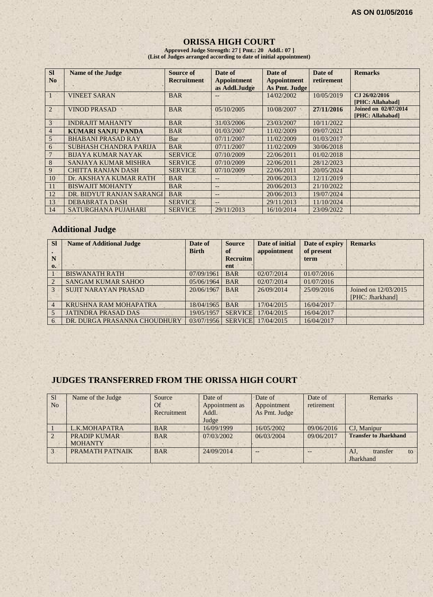# **ORISSA HIGH COURT**

**Approved Judge Strength: 27 [ Pmt.: 20 Addl.: 07 ] (List of Judges arranged according to date of initial appointment)**

| <b>SI</b><br>N <sub>0</sub> | <b>Name of the Judge</b>  | <b>Source of</b><br><b>Recruitment</b> | Date of<br><b>Appointment</b><br>as Addl.Judge | Date of<br><b>Appointment</b><br>As Pmt. Judge | Date of<br>retirement | <b>Remarks</b>                                  |
|-----------------------------|---------------------------|----------------------------------------|------------------------------------------------|------------------------------------------------|-----------------------|-------------------------------------------------|
| $\mathbf{1}$                | <b>VINEET SARAN</b>       | <b>BAR</b>                             |                                                | 14/02/2002                                     | 10/05/2019            | CJ 26/02/2016<br>[PHC: Allahabad]               |
| 2                           | <b>VINOD PRASAD</b>       | <b>BAR</b>                             | 05/10/2005                                     | 10/08/2007                                     | 27/11/2016            | <b>Joined on 02/07/2014</b><br>[PHC: Allahabad] |
| 3                           | <b>INDRAJIT MAHANTY</b>   | <b>BAR</b>                             | 31/03/2006                                     | 23/03/2007                                     | 10/11/2022            |                                                 |
| $\overline{4}$              | KUMARI SANJU PANDA        | <b>BAR</b>                             | 01/03/2007                                     | 11/02/2009                                     | 09/07/2021            |                                                 |
| 5                           | <b>BHABANI PRASAD RAY</b> | Bar                                    | 07/11/2007                                     | 11/02/2009                                     | 01/03/2017            |                                                 |
| 6                           | SUBHASH CHANDRA PARIJA    | <b>BAR</b>                             | 07/11/2007                                     | 11/02/2009                                     | 30/06/2018            |                                                 |
| $\overline{7}$              | <b>BIJAYA KUMAR NAYAK</b> | <b>SERVICE</b>                         | 07/10/2009                                     | 22/06/2011                                     | 01/02/2018            |                                                 |
| 8                           | SANJAYA KUMAR MISHRA      | <b>SERVICE</b>                         | 07/10/2009                                     | 22/06/2011                                     | 28/12/2023            |                                                 |
| 9                           | <b>CHITTA RANJAN DASH</b> | <b>SERVICE</b>                         | 07/10/2009                                     | 22/06/2011                                     | 20/05/2024            |                                                 |
| 10                          | Dr. AKSHAYA KUMAR RATH    | <b>BAR</b>                             | $-$                                            | 20/06/2013                                     | 12/11/2019            |                                                 |
| <sup>11</sup>               | <b>BISWAJIT MOHANTY</b>   | <b>BAR</b>                             | $-$                                            | 20/06/2013                                     | 21/10/2022            |                                                 |
| 12                          | DR. BIDYUT RANJAN SARANGI | <b>BAR</b>                             | $- -$                                          | 20/06/2013                                     | 19/07/2024            |                                                 |
| 13                          | <b>DEBABRATA DASH</b>     | <b>SERVICE</b>                         | $--$                                           | 29/11/2013                                     | 11/10/2024            |                                                 |
| 14                          | SATURGHANA PUJAHARI       | <b>SERVICE</b>                         | 29/11/2013                                     | 16/10/2014                                     | 23/09/2022            |                                                 |

# **Additional Judge**

| <b>SI</b>      | <b>Name of Additional Judge</b> | Date of      | <b>Source</b>   | Date of initial | Date of expiry | <b>Remarks</b>       |
|----------------|---------------------------------|--------------|-----------------|-----------------|----------------|----------------------|
|                |                                 | <b>Birth</b> | of              | appointment     | of present     |                      |
| N              |                                 |              | <b>Recruitm</b> |                 | term           |                      |
| $\mathbf{0}$ . |                                 |              | ent             |                 |                |                      |
|                | <b>BISWANATH RATH</b>           | 07/09/1961   | <b>BAR</b>      | 02/07/2014      | 01/07/2016     |                      |
| $\overline{2}$ | <b>SANGAM KUMAR SAHOO</b>       | 05/06/1964   | <b>BAR</b>      | 02/07/2014      | 01/07/2016     |                      |
| $\mathcal{E}$  | <b>SUJIT NARAYAN PRASAD</b>     | 20/06/1967   | <b>BAR</b>      | 26/09/2014      | 25/09/2016     | Joined on 12/03/2015 |
|                |                                 |              |                 |                 |                | [PHC: Jharkhand]     |
| $\overline{4}$ | KRUSHNA RAM MOHAPATRA           | 18/04/1965   | <b>BAR</b>      | 17/04/2015      | 16/04/2017     |                      |
|                | <b>JATINDRA PRASAD DAS</b>      | 19/05/1957   | <b>SERVICE</b>  | 17/04/2015      | 16/04/2017     |                      |
| 6              | DR. DURGA PRASANNA CHOUDHURY    | 03/07/1956   | <b>SERVICE</b>  | 17/04/2015      | 16/04/2017     |                      |

#### **JUDGES TRANSFERRED FROM THE ORISSA HIGH COURT**

| <sub>S1</sub>  | Name of the Judge   | Source      | Date of        | Date of       | Date of    | Remarks                      |
|----------------|---------------------|-------------|----------------|---------------|------------|------------------------------|
| N <sub>0</sub> |                     | Of          | Appointment as | Appointment   | retirement |                              |
|                |                     | Recruitment | Addl.          | As Pmt. Judge |            |                              |
|                |                     |             | Judge          |               |            |                              |
|                | L.K.MOHAPATRA       | <b>BAR</b>  | 16/09/1999     | 16/05/2002    | 09/06/2016 | CJ, Manipur                  |
| $\overline{2}$ | <b>PRADIP KUMAR</b> | <b>BAR</b>  | 07/03/2002     | 06/03/2004    | 09/06/2017 | <b>Transfer to Jharkhand</b> |
|                | <b>MOHANTY</b>      |             |                |               |            |                              |
| 3              | PRAMATH PATNAIK     | <b>BAR</b>  | 24/09/2014     | $-$           |            | AJ.<br>transfer<br>to        |
|                |                     |             |                |               |            | Jharkhand                    |
|                |                     |             |                |               |            |                              |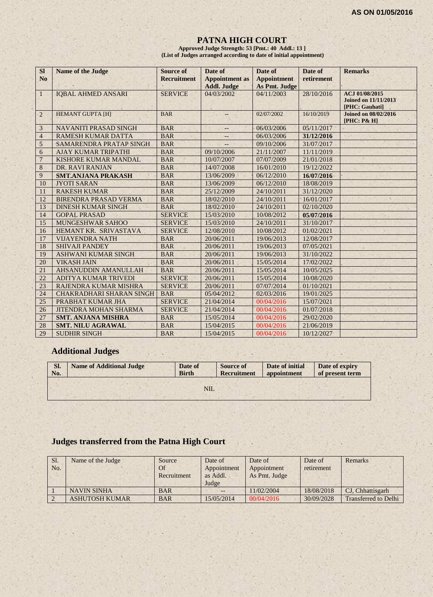#### **PATNA HIGH COURT**

**Approved Judge Strength: 53 [Pmt.: 40 Addl.: 13 ] (List of Judges arranged according to date of initial appointment)**

| <b>SI</b><br>N <sub>o</sub> | <b>Name of the Judge</b>        | <b>Source of</b><br><b>Recruitment</b> | Date of<br><b>Appointment</b> as | Date of<br><b>Appointment</b> | Date of<br>retirement | <b>Remarks</b>                                                  |
|-----------------------------|---------------------------------|----------------------------------------|----------------------------------|-------------------------------|-----------------------|-----------------------------------------------------------------|
|                             |                                 |                                        | <b>Addl. Judge</b>               | As Pmt. Judge                 |                       |                                                                 |
| $\mathbf{1}$                | <b>IQBAL AHMED ANSARI</b>       | <b>SERVICE</b>                         | 04/03/2002                       | 04/11/2003                    | 28/10/2016            | ACJ 01/08/2015<br><b>Joined on 11/11/2013</b><br>[PHC: Gauhati] |
| 2                           | <b>HEMANT GUPTA [H]</b>         | <b>BAR</b>                             |                                  | 02/07/2002                    | 16/10/2019            | <b>Joined on 08/02/2016</b><br>[PHC: P& H]                      |
| 3                           | <b>NAVANITI PRASAD SINGH</b>    | <b>BAR</b>                             | --                               | 06/03/2006                    | 05/11/2017            |                                                                 |
| $\overline{4}$              | <b>RAMESH KUMAR DATTA</b>       | <b>BAR</b>                             | $-$                              | 06/03/2006                    | 31/12/2016            |                                                                 |
| 5                           | SAMARENDRA PRATAP SINGH         | <b>BAR</b>                             |                                  | 09/10/2006                    | 31/07/2017            |                                                                 |
| 6                           | <b>AJAY KUMAR TRIPATHI</b>      | <b>BAR</b>                             | 09/10/2006                       | 21/11/2007                    | 11/11/2019            |                                                                 |
| $\overline{7}$              | <b>KISHORE KUMAR MANDAL</b>     | <b>BAR</b>                             | 10/07/2007                       | 07/07/2009                    | 21/01/2018            |                                                                 |
| $\,$ 8 $\,$                 | DR. RAVI RANJAN                 | <b>BAR</b>                             | 14/07/2008                       | 16/01/2010                    | 19/12/2022            |                                                                 |
| 9                           | <b>SMT.ANJANA PRAKASH</b>       | <b>BAR</b>                             | 13/06/2009                       | 06/12/2010                    | 16/07/2016            |                                                                 |
| 10                          | <b>JYOTI SARAN</b>              | <b>BAR</b>                             | 13/06/2009                       | 06/12/2010                    | 18/08/2019            |                                                                 |
| 11                          | <b>RAKESH KUMAR</b>             | <b>BAR</b>                             | 25/12/2009                       | 24/10/2011                    | 31/12/2020            |                                                                 |
| 12                          | <b>BIRENDRA PRASAD VERMA</b>    | <b>BAR</b>                             | 18/02/2010                       | 24/10/2011                    | 16/01/2017            |                                                                 |
| 13                          | <b>DINESH KUMAR SINGH</b>       | <b>BAR</b>                             | 18/02/2010                       | 24/10/2011                    | 02/10/2020            |                                                                 |
| 14                          | <b>GOPAL PRASAD</b>             | <b>SERVICE</b>                         | 15/03/2010                       | 10/08/2012                    | 05/07/2016            |                                                                 |
| 15                          | MUNGESHWAR SAHOO                | <b>SERVICE</b>                         | 15/03/2010                       | 24/10/2011                    | 31/10/2017            |                                                                 |
| 16                          | HEMANT KR. SRIVASTAVA           | <b>SERVICE</b>                         | 12/08/2010                       | 10/08/2012                    | 01/02/2021            |                                                                 |
| 17                          | <b>VIJAYENDRA NATH</b>          | <b>BAR</b>                             | 20/06/2011                       | 19/06/2013                    | 12/08/2017            |                                                                 |
| 18                          | <b>SHIVAJI PANDEY</b>           | <b>BAR</b>                             | 20/06/2011                       | 19/06/2013                    | 07/05/2021            |                                                                 |
| 19                          | <b>ASHWANI KUMAR SINGH</b>      | <b>BAR</b>                             | 20/06/2011                       | 19/06/2013                    | 31/10/2022            |                                                                 |
| 20                          | <b>VIKASH JAIN</b>              | <b>BAR</b>                             | 20/06/2011                       | 15/05/2014                    | 17/02/2022            |                                                                 |
| 21                          | AHSANUDDIN AMANULLAH            | <b>BAR</b>                             | 20/06/2011                       | 15/05/2014                    | 10/05/2025            |                                                                 |
| 22                          | <b>ADITYA KUMAR TRIVEDI</b>     | <b>SERVICE</b>                         | 20/06/2011                       | 15/05/2014                    | 10/08/2020            |                                                                 |
| 23                          | <b>RAJENDRA KUMAR MISHRA</b>    | <b>SERVICE</b>                         | 20/06/2011                       | 07/07/2014                    | 01/10/2021            |                                                                 |
| 24                          | <b>CHAKRADHARI SHARAN SINGH</b> | <b>BAR</b>                             | 05/04/2012                       | 02/03/2016                    | 19/01/2025            |                                                                 |
| 25                          | PRABHAT KUMAR JHA               | <b>SERVICE</b>                         | 21/04/2014                       | 00/04/2016                    | 15/07/2021            |                                                                 |
| 26                          | <b>JITENDRA MOHAN SHARMA</b>    | <b>SERVICE</b>                         | 21/04/2014                       | 00/04/2016                    | 01/07/2018            |                                                                 |
| 27                          | <b>SMT. ANJANA MISHRA</b>       | <b>BAR</b>                             | 15/05/2014                       | 00/04/2016                    | 29/02/2020            |                                                                 |
| 28                          | <b>SMT. NILU AGRAWAL</b>        | <b>BAR</b>                             | 15/04/2015                       | 00/04/2016                    | 21/06/2019            |                                                                 |
| 29                          | <b>SUDHIR SINGH</b>             | <b>BAR</b>                             | 15/04/2015                       | 00/04/2016                    | 10/12/2027            |                                                                 |

# **Additional Judges**

| SI.<br>No. | <b>Name of Additional Judge</b> | Date of<br><b>Birth</b> | <b>Source of</b><br><b>Recruitment</b> | Date of initial<br>appointment | Date of expiry<br>of present term |
|------------|---------------------------------|-------------------------|----------------------------------------|--------------------------------|-----------------------------------|
|            |                                 | NIL.                    |                                        |                                |                                   |
|            |                                 |                         |                                        |                                |                                   |

# **Judges transferred from the Patna High Court**

| Sl.<br>No. | Name of the Judge     | Source<br>Of<br>Recruitment | Date of<br>Appointment<br>as Addl.<br>Judge | Date of<br>Appointment<br>As Pmt. Judge | Date of<br>retirement | Remarks                     |
|------------|-----------------------|-----------------------------|---------------------------------------------|-----------------------------------------|-----------------------|-----------------------------|
|            | <b>NAVIN SINHA</b>    | <b>BAR</b>                  | $- -$                                       | 11/02/2004                              | 18/08/2018            | CJ, Chhattisgarh            |
|            | <b>ASHUTOSH KUMAR</b> | <b>BAR</b>                  | 15/05/2014                                  | 00/04/2016                              | 30/09/2028            | <b>Transferred to Delhi</b> |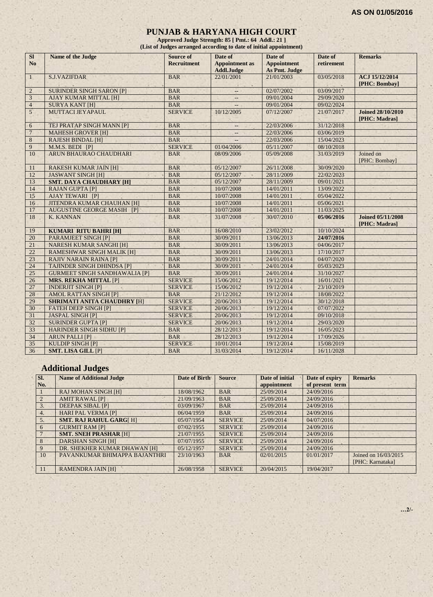#### **PUNJAB & HARYANA HIGH COURT**

**Approved Judge Strength: 85 [ Pmt.: 64 Addl.: 21 ] (List of Judges arranged according to date of initial appointment)**

| <b>SI</b>      | <b>Name of the Judge</b>             | Source of          | Date of                  | Date of              | Date of    | <b>Remarks</b>                            |
|----------------|--------------------------------------|--------------------|--------------------------|----------------------|------------|-------------------------------------------|
| N <sub>o</sub> |                                      | <b>Recruitment</b> | <b>Appointment</b> as    | <b>Appointment</b>   | retirement |                                           |
|                |                                      |                    | <b>Addl.Judge</b>        | <b>As Pmt. Judge</b> |            |                                           |
| $\mathbf{1}$   | <b>S.J.VAZIFDAR</b>                  | <b>BAR</b>         | 22/01/2001               | 21/01/2003           | 03/05/2018 | ACJ 15/12/2014                            |
|                |                                      |                    |                          |                      |            | [PHC: Bombay]                             |
| $\overline{2}$ | <b>SURINDER SINGH SARON [P]</b>      | <b>BAR</b>         | $\overline{a}$           | 02/07/2002           | 03/09/2017 |                                           |
| $\overline{3}$ | <b>AJAY KUMAR MITTAL [H]</b>         | <b>BAR</b>         |                          | 09/01/2004           | 29/09/2020 |                                           |
| $\overline{4}$ | <b>SURYA KANT [H]</b>                | <b>BAR</b>         | $\overline{\phantom{a}}$ | 09/01/2004           | 09/02/2024 |                                           |
| 5 <sup>1</sup> | MUTTACI JEYAPAUL                     | <b>SERVICE</b>     | 10/12/2005               | 07/12/2007           | 21/07/2017 | <b>Joined 28/10/2010</b><br>[PHC: Madras] |
| 6              | TEJ PRATAP SINGH MANN [P]            | <b>BAR</b>         | $\overline{a}$           | 22/03/2006           | 31/12/2018 |                                           |
| $\overline{7}$ | <b>MAHESH GROVER [H]</b>             | <b>BAR</b>         | $\qquad \qquad -$        | 22/03/2006           | 03/06/2019 |                                           |
| $8\phantom{1}$ | <b>RAJESH BINDAL [H]</b>             | <b>BAR</b>         |                          | 22/03/2006           | 15/04/2023 |                                           |
| 9              | M.M.S. BEDI [P]                      | <b>SERVICE</b>     | 01/04/2006               | 05/11/2007           | 08/10/2018 |                                           |
| 10             | ARUN BHAURAO CHAUDHARI               | <b>BAR</b>         | 08/09/2006               | 05/09/2008           | 31/03/2019 | Joined on<br>[PHC: Bombay]                |
| 11             | <b>RAKESH KUMAR JAIN [H]</b>         | <b>BAR</b>         | 05/12/2007               | 26/11/2008           | 30/09/2020 |                                           |
| 12             | <b>JASWANT SINGH [H]</b>             | <b>BAR</b>         | 05/12/2007               | 28/11/2009           | 22/02/2023 |                                           |
| 13             | <b>SMT. DAYA CHAUDHARY [H]</b>       | <b>BAR</b>         | 05/12/2007               | 28/11/2009           | 09/01/2021 |                                           |
| 14             | <b>RAJAN GUPTA [P]</b>               | <b>BAR</b>         | 10/07/2008               | 14/01/2011           | 13/09/2022 |                                           |
| 15             | <b>AJAY TEWARI [P]</b>               | <b>BAR</b>         | 10/07/2008               | 14/01/2011           | 05/04/2022 |                                           |
| 16             | <b>JITENDRA KUMAR CHAUHAN [H]</b>    | <b>BAR</b>         | 10/07/2008               | 14/01/2011           | 05/06/2021 |                                           |
| 17             | <b>AUGUSTINE GEORGE MASIH [P]</b>    | <b>BAR</b>         | 10/07/2008               | 14/01/2011           | 11/03/2025 |                                           |
| 18             | K. KANNAN                            | <b>BAR</b>         | 31/07/2008               | 30/07/2010           | 05/06/2016 | <b>Joined 05/11/2008</b><br>[PHC: Madras] |
| 19             | <b>KUMARI RITU BAHRI [H]</b>         | <b>BAR</b>         | 16/08/2010               | 23/02/2012           | 10/10/2024 |                                           |
| 20             | <b>PARAMJEET SINGH [P]</b>           | <b>BAR</b>         | 30/09/2011               | 13/06/2013           | 24/07/2016 |                                           |
| 21             | <b>NARESH KUMAR SANGHI [H]</b>       | <b>BAR</b>         | 30/09/2011               | 13/06/2013           | 04/06/2017 |                                           |
| 22             | <b>RAMESHWAR SINGH MALIK [H]</b>     | <b>BAR</b>         | 30/09/2011               | 13/06/2013           | 17/10/2017 |                                           |
| 23             | <b>RAJIV NARAIN RAINA [P]</b>        | <b>BAR</b>         | 30/09/2011               | 24/01/2014           | 04/07/2020 |                                           |
| 24             | <b>TAJINDER SINGH DHINDSA [P]</b>    | <b>BAR</b>         | 30/09/2011               | 24/01/2014           | 05/03/2023 |                                           |
| 25             | <b>GURMEET SINGH SANDHAWALIA [P]</b> | <b>BAR</b>         | 30/09/2011               | 24/01/2014           | 31/10/2027 |                                           |
| 26             | <b>MRS. REKHA MITTAL [P]</b>         | <b>SERVICE</b>     | 15/06/2012               | 19/12/2014           | 16/01/2021 |                                           |
| 27             | <b>INDERJIT SINGH [P]</b>            | <b>SERVICE</b>     | 15/06/2012               | 19/12/2014           | 23/10/2019 |                                           |
| 28             | <b>AMOL RATTAN SINGH [P]</b>         | <b>BAR</b>         | 21/12/2012               | 19/12/2014           | 18/08/2022 |                                           |
| 29             | <b>SHRIMATI ANITA CHAUDHRY [H]</b>   | <b>SERVICE</b>     | 20/06/2013               | 19/12/2014           | 30/12/2018 |                                           |
| 30             | <b>FATEH DEEP SINGH [P]</b>          | <b>SERVICE</b>     | 20/06/2013               | 19/12/2014           | 07/07/2022 |                                           |
| 31             | <b>JASPAL SINGH [P]</b>              | <b>SERVICE</b>     | 20/06/2013               | 19/12/2014           | 09/10/2018 |                                           |
| 32             | <b>SURINDER GUPTA [P]</b>            | <b>SERVICE</b>     | 20/06/2013               | 19/12/2014           | 29/03/2020 |                                           |
| 33             | <b>HARINDER SINGH SIDHU [P]</b>      | <b>BAR</b>         | 28/12/2013               | 19/12/2014           | 16/05/2023 |                                           |
| 34             | <b>ARUN PALLI [P]</b>                | <b>BAR</b>         | 28/12/2013               | 19/12/2014           | 17/09/2026 |                                           |
| 35             | <b>KULDIP SINGH [P]</b>              | <b>SERVICE</b>     | 10/01/2014               | 19/12/2014           | 15/08/2019 |                                           |
| 36             | <b>SMT. LISA GILL [P]</b>            | <b>BAR</b>         | 31/03/2014               | 19/12/2014           | 16/11/2028 |                                           |

# **Additional Judges**

| SI. | <b>Name of Additional Judge</b> | Date of Birth | <b>Source</b>  | Date of initial | Date of expiry  | <b>Remarks</b>       |
|-----|---------------------------------|---------------|----------------|-----------------|-----------------|----------------------|
| No. |                                 |               |                | appointment     | of present term |                      |
|     | <b>RAJ MOHAN SINGH [H]</b>      | 18/08/1962    | <b>BAR</b>     | 25/09/2014      | 24/09/2016      |                      |
|     | <b>AMIT RAWAL [P]</b>           | 21/09/1963    | <b>BAR</b>     | 25/09/2014      | 24/09/2016      |                      |
| 3.  | <b>DEEPAK SIBAL [P]</b>         | 03/09/1967    | <b>BAR</b>     | 25/09/2014      | 24/09/2016      |                      |
| 4.  | <b>HARI PAL VERMA [P]</b>       | 06/04/1959    | <b>BAR</b>     | 25/09/2014      | 24/09/2016      |                      |
| 5.  | <b>SMT. RAJ RAHUL GARG[H]</b>   | 05/07/1954    | <b>SERVICE</b> | 25/09/2014      | 04/07/2016      |                      |
| 6   | <b>GURMIT RAM [P]</b>           | 07/02/1955    | <b>SERVICE</b> | 25/09/2014      | 24/09/2016      |                      |
|     | <b>SMT. SNEH PRASHAR [H]</b>    | 21/07/1955    | <b>SERVICE</b> | 25/09/2014      | 24/09/2016      |                      |
| 8   | <b>DARSHAN SINGH [H]</b>        | 07/07/1955    | <b>SERVICE</b> | 25/09/2014      | 24/09/2016      |                      |
| 9   | DR. SHEKHER KUMAR DHAWAN [H]    | 05/12/1957    | <b>SERVICE</b> | 25/09/2014      | 24/09/2016      |                      |
| 10  | PAVANKUMAR BHIMAPPA BAJANTHRI   | 23/10/1963    | <b>BAR</b>     | 02/01/2015      | 01/01/2017      | Joined on 16/03/2015 |
|     |                                 |               |                |                 |                 | [PHC: Karnataka]     |
| 11  | <b>RAMENDRA JAIN [H]</b>        | 26/08/1958    | <b>SERVICE</b> | 20/04/2015      | 19/04/2017      |                      |

**…2/-**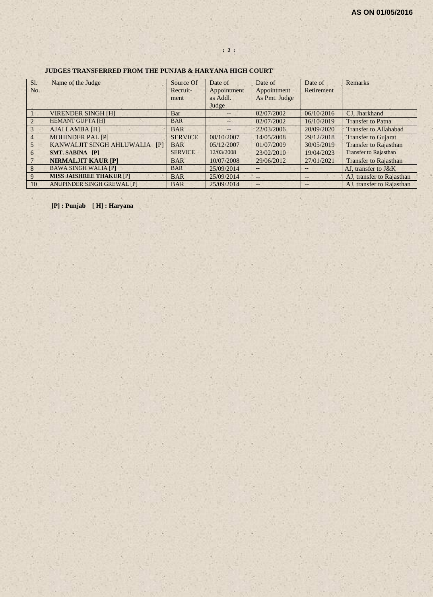#### **JUDGES TRANSFERRED FROM THE PUNJAB & HARYANA HIGH COURT**

| Sl.            | Name of the Judge               | Source Of      | Date of       | Date of           | Date of    | Remarks                      |
|----------------|---------------------------------|----------------|---------------|-------------------|------------|------------------------------|
| No.            |                                 | Recruit-       | Appointment   | Appointment       | Retirement |                              |
|                |                                 | ment           | as Addl.      | As Pmt. Judge     |            |                              |
|                |                                 |                | Judge         |                   |            |                              |
|                | <b>VIRENDER SINGH [H]</b>       | Bar            | $- -$         | 02/07/2002        | 06/10/2016 | CJ, Jharkhand                |
| 2              | <b>HEMANT GUPTA [H]</b>         | <b>BAR</b>     | $\sim$ $\sim$ | 02/07/2002        | 16/10/2019 | <b>Transfer to Patna</b>     |
| $\overline{3}$ | <b>AJAI LAMBA [H]</b>           | <b>BAR</b>     | $-$           | 22/03/2006        | 20/09/2020 | <b>Transfer to Allahabad</b> |
| $\overline{4}$ | <b>MOHINDER PAL [P]</b>         | <b>SERVICE</b> | 08/10/2007    | 14/05/2008        | 29/12/2018 | <b>Transfer to Gujarat</b>   |
| 5              | KANWALJIT SINGH AHLUWALIA<br>IP | <b>BAR</b>     | 05/12/2007    | 01/07/2009        | 30/05/2019 | <b>Transfer to Rajasthan</b> |
| 6              | <b>SMT. SABINA [P]</b>          | <b>SERVICE</b> | 12/03/2008    | 23/02/2010        | 19/04/2023 | <b>Transfer to Rajasthan</b> |
|                | <b>NIRMALJIT KAUR [P]</b>       | <b>BAR</b>     | 10/07/2008    | 29/06/2012        | 27/01/2021 | <b>Transfer to Rajasthan</b> |
| 8              | <b>BAWA SINGH WALIA [P]</b>     | <b>BAR</b>     | 25/09/2014    | $\qquad \qquad -$ | $-$        | AJ, transfer to J&K          |
| 9              | <b>MISS JAISHREE THAKUR [P]</b> | <b>BAR</b>     | 25/09/2014    | $--$              | $-$        | AJ, transfer to Rajasthan    |
| 10             | ANUPINDER SINGH GREWAL [P]      | <b>BAR</b>     | 25/09/2014    | $--$              | $- -$      | AJ, transfer to Rajasthan    |

**[P] : Punjab [ H] : Haryana**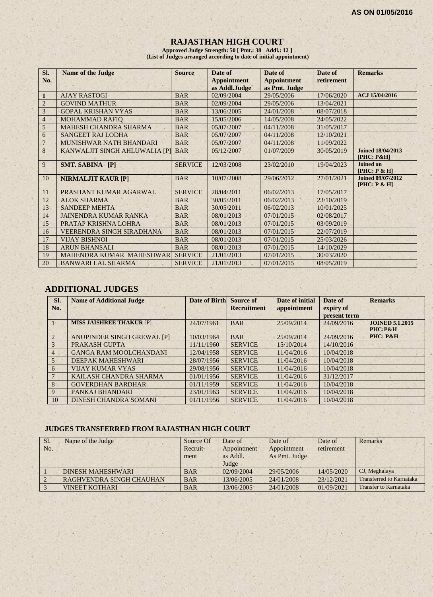# **RAJASTHAN HIGH COURT**

**Approved Judge Strength: 50 [ Pmt.: 38 Addl.: 12 ] (List of Judges arranged according to date of initial appointment)**

| SI.            | <b>Name of the Judge</b>      | <b>Source</b>  | Date of            | Date of            | Date of    | <b>Remarks</b>                            |
|----------------|-------------------------------|----------------|--------------------|--------------------|------------|-------------------------------------------|
| No.            |                               |                | <b>Appointment</b> | <b>Appointment</b> | retirement |                                           |
|                |                               |                | as Addl.Judge      | as Pmt. Judge      |            |                                           |
| 1              | <b>AJAY RASTOGI</b>           | <b>BAR</b>     | 02/09/2004         | 29/05/2006         | 17/06/2020 | ACJ 15/04/2016                            |
| $\overline{2}$ | <b>GOVIND MATHUR</b>          | <b>BAR</b>     | 02/09/2004         | 29/05/2006         | 13/04/2021 |                                           |
| 3              | <b>GOPAL KRISHAN VYAS</b>     | <b>BAR</b>     | 13/06/2005         | 24/01/2008         | 08/07/2018 |                                           |
| $\overline{4}$ | <b>MOHAMMAD RAFIO</b>         | <b>BAR</b>     | 15/05/2006         | 14/05/2008         | 24/05/2022 |                                           |
| 5              | <b>MAHESH CHANDRA SHARMA</b>  | <b>BAR</b>     | 05/07/2007         | 04/11/2008         | 31/05/2017 |                                           |
| 6              | <b>SANGEET RAJ LODHA</b>      | <b>BAR</b>     | 05/07/2007         | 04/11/2008         | 12/10/2021 |                                           |
|                | MUNISHWAR NATH BHANDARI       | <b>BAR</b>     | 05/07/2007         | 04/11/2008         | 11/09/2022 |                                           |
| 8              | KANWALJIT SINGH AHLUWALIA [P] | <b>BAR</b>     | 05/12/2007         | 01/07/2009         | 30/05/2019 | <b>Joined 18/04/2013</b><br>$[PHC: P\&H]$ |
| 9              | <b>SMT. SABINA [P]</b>        | <b>SERVICE</b> | 12/03/2008         | 23/02/2010         | 19/04/2023 | <b>Joined on</b><br>[PHC: P & H]          |
| 10             | <b>NIRMALJIT KAUR [P]</b>     | <b>BAR</b>     | 10/07/2008         | 29/06/2012         | 27/01/2021 | <b>Joined 09/07/2012</b><br>[PHC: P & H]  |
| 11             | PRASHANT KUMAR AGARWAL        | <b>SERVICE</b> | 28/04/2011         | 06/02/2013         | 17/05/2017 |                                           |
| 12             | <b>ALOK SHARMA</b>            | <b>BAR</b>     | 30/05/2011         | 06/02/2013         | 23/10/2019 |                                           |
| 13             | <b>SANDEEP MEHTA</b>          | <b>BAR</b>     | 30/05/2011         | 06/02/2013         | 10/01/2025 |                                           |
| 14             | <b>JAINENDRA KUMAR RANKA</b>  | <b>BAR</b>     | 08/01/2013         | 07/01/2015         | 02/08/2017 |                                           |
| 15             | PRATAP KRISHNA LOHRA          | <b>BAR</b>     | 08/01/2013         | 07/01/2015         | 03/09/2019 |                                           |
| 16             | VEERENDRA SINGH SIRADHANA     | <b>BAR</b>     | 08/01/2013         | 07/01/2015         | 22/07/2019 |                                           |
| 17             | <b>VIJAY BISHNOI</b>          | <b>BAR</b>     | 08/01/2013         | 07/01/2015         | 25/03/2026 |                                           |
| 18             | <b>ARUN BHANSALI</b>          | <b>BAR</b>     | 08/01/2013         | 07/01/2015         | 14/10/2029 |                                           |
| 19             | MAHENDRA KUMAR MAHESHWAR      | <b>SERVICE</b> | 21/01/2013         | 07/01/2015         | 30/03/2020 |                                           |
| 20             | <b>BANWARI LAL SHARMA</b>     | <b>SERVICE</b> | 21/01/2013         | 07/01/2015         | 08/05/2019 |                                           |

# **ADDITIONAL JUDGES**

| SI.<br>No.            | <b>Name of Additional Judge</b> | Date of Birth | Source of<br><b>Recruitment</b> | Date of initial<br>appointment | Date of<br>expiry of<br>present term | <b>Remarks</b>                    |
|-----------------------|---------------------------------|---------------|---------------------------------|--------------------------------|--------------------------------------|-----------------------------------|
| $\sim$                | <b>MISS JAISHREE THAKUR [P]</b> | 24/07/1961    | <b>BAR</b>                      | 25/09/2014                     | 24/09/2016                           | <b>JOINED 5.1.2015</b><br>PHC:P&H |
| $\mathcal{D}_{\cdot}$ | ANUPINDER SINGH GREWAL [P]      | 10/03/1964    | <b>BAR</b>                      | 25/09/2014                     | 24/09/2016                           | PHC: P&H                          |
| $\mathcal{E}$         | PRAKASH GUPTA                   | 11/11/1960    | <b>SERVICE</b>                  | 15/10/2014                     | 14/10/2016                           |                                   |
| $\overline{4}$        | <b>GANGA RAM MOOLCHANDANI</b>   | 12/04/1958    | <b>SERVICE</b>                  | 11/04/2016                     | 10/04/2018                           |                                   |
| 5                     | DEEPAK MAHESHWARI               | 28/07/1956    | <b>SERVICE</b>                  | 11/04/2016                     | 10/04/2018                           |                                   |
| 6                     | <b>VIJAY KUMAR VYAS</b>         | 29/08/1956    | <b>SERVICE</b>                  | 11/04/2016                     | 10/04/2018                           |                                   |
|                       | KAILASH CHANDRA SHARMA          | 01/01/1956    | <b>SERVICE</b>                  | 11/04/2016                     | 31/12/2017                           |                                   |
| 8                     | <b>GOVERDHAN BARDHAR</b>        | 01/11/1959    | <b>SERVICE</b>                  | 11/04/2016                     | 10/04/2018                           |                                   |
| 9                     | PANKAJ BHANDARI                 | 23/01/1963    | <b>SERVICE</b>                  | 11/04/2016                     | 10/04/2018                           |                                   |
| 10                    | <b>DINESH CHANDRA SOMANI</b>    | 01/11/1956    | <b>SERVICE</b>                  | 11/04/2016                     | 10/04/2018                           |                                   |

#### **JUDGES TRANSFERRED FROM RAJASTHAN HIGH COURT**

| SI. | Name of the Judge               | Source Of  | Date of     | Date of       | Date of    | Remarks                      |
|-----|---------------------------------|------------|-------------|---------------|------------|------------------------------|
| No. |                                 | Recruit-   | Appointment | Appointment   | retirement |                              |
|     |                                 | ment       | as Addl.    | As Pmt. Judge |            |                              |
|     |                                 |            | Judge       |               |            |                              |
|     | <b>DINESH MAHESHWARI</b>        | <b>BAR</b> | 02/09/2004  | 29/05/2006    | 14/05/2020 | CJ, Meghalaya                |
|     | <b>RAGHVENDRA SINGH CHAUHAN</b> | <b>BAR</b> | 13/06/2005  | 24/01/2008    | 23/12/2021 | Transferred to Karnataka     |
|     | <b>VINEET KOTHARI</b>           | <b>BAR</b> | 13/06/2005  | 24/01/2008    | 01/09/2021 | <b>Transfer to Karnataka</b> |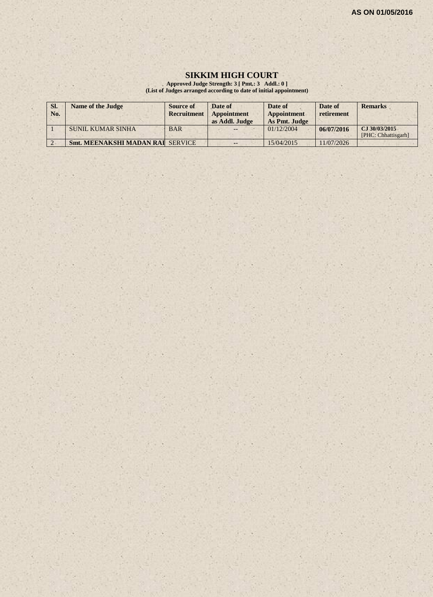#### **SIKKIM HIGH COURT**

**Approved Judge Strength: 3 [ Pmt.: 3 Addl.: 0 ] (List of Judges arranged according to date of initial appointment)**

| SI.<br>No.     | <b>Name of the Judge</b>                | Source of<br><b>Recruitment</b> | Date of<br>Appointment<br>as Addl. Judge | Date of<br><b>Appointment</b><br>As Pmt. Judge | Date of<br>retirement | <b>Remarks</b>                       |
|----------------|-----------------------------------------|---------------------------------|------------------------------------------|------------------------------------------------|-----------------------|--------------------------------------|
|                | <b>SUNIL KUMAR SINHA</b>                | <b>BAR</b>                      | $- -$                                    | 01/12/2004                                     | 06/07/2016            | CJ 30/03/2015<br>[PHC: Chhattisgarh] |
| $\overline{ }$ | <b>Smt. MEENAKSHI MADAN RAI SERVICE</b> |                                 | $-1$                                     | 15/04/2015                                     | 11/07/2026            |                                      |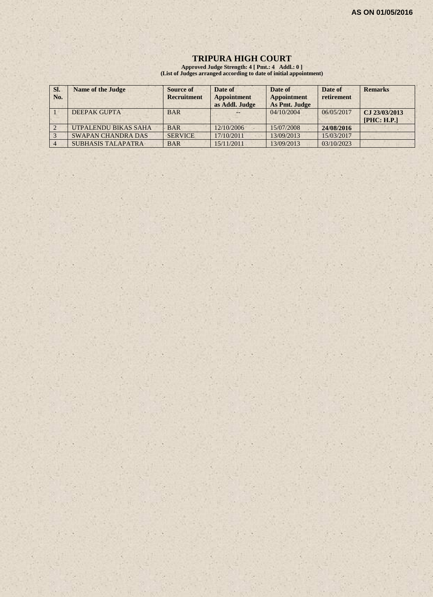#### **TRIPURA HIGH COURT**

**Approved Judge Strength: 4 [ Pmt.: 4 Addl.: 0 ] (List of Judges arranged according to date of initial appointment)**

| SI.<br>No. | <b>Name of the Judge</b>  | Source of<br><b>Recruitment</b> | Date of<br><b>Appointment</b><br>as Addl. Judge | Date of<br>Appointment<br>As Pmt. Judge | Date of<br>retirement | <b>Remarks</b>               |
|------------|---------------------------|---------------------------------|-------------------------------------------------|-----------------------------------------|-----------------------|------------------------------|
|            | <b>DEEPAK GUPTA</b>       | <b>BAR</b>                      |                                                 | 04/10/2004                              | 06/05/2017            | CJ 23/03/2013<br>[PHC: H.P.] |
|            | UTPALENDU BIKAS SAHA      | <b>BAR</b>                      | 12/10/2006                                      | 15/07/2008                              | 24/08/2016            |                              |
|            | <b>SWAPAN CHANDRA DAS</b> | <b>SERVICE</b>                  | 17/10/2011                                      | 13/09/2013                              | 15/03/2017            |                              |
|            | <b>SUBHASIS TALAPATRA</b> | <b>BAR</b>                      | 15/11/2011                                      | 13/09/2013                              | 03/10/2023            |                              |